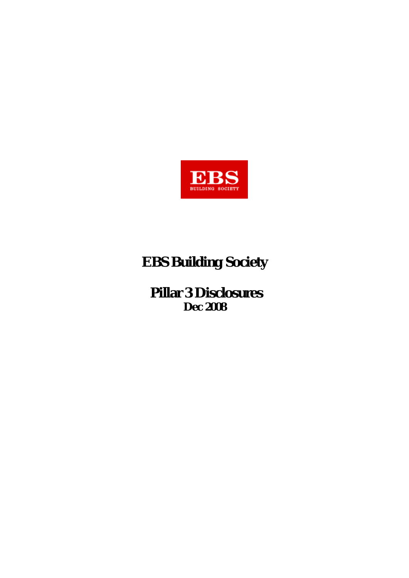

# **EBS Building Society**

 **Pillar 3 Disclosures Dec 2008**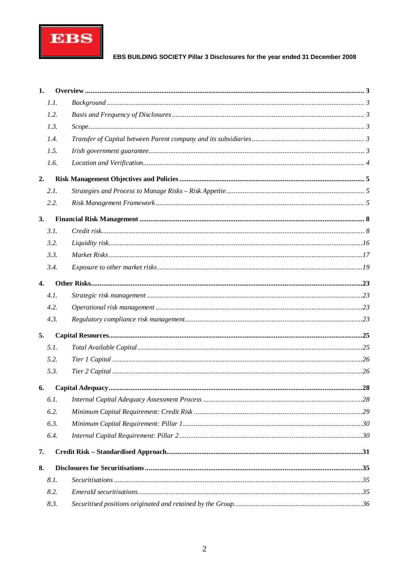

| 1.               |      |  |
|------------------|------|--|
|                  | 1.1. |  |
|                  | 1.2. |  |
|                  | 1.3. |  |
|                  | 1.4. |  |
|                  | 1.5. |  |
|                  | 1.6. |  |
| 2.               |      |  |
|                  | 2.1. |  |
|                  | 2.2. |  |
| 3.               |      |  |
|                  | 3.1. |  |
|                  | 3.2. |  |
|                  | 3.3. |  |
|                  | 3.4. |  |
| $\overline{4}$ . |      |  |
|                  | 4.1. |  |
|                  | 4.2. |  |
|                  | 4.3. |  |
| 5.               |      |  |
|                  | 5.1. |  |
|                  | 5.2. |  |
|                  | 5.3. |  |
| 6.               |      |  |
|                  | 6.1. |  |
|                  | 6.2. |  |
|                  | 6.3. |  |
|                  | 6.4. |  |
| 7.               |      |  |
| 8.               |      |  |
|                  | 8.1. |  |
|                  | 8.2. |  |
|                  | 8.3. |  |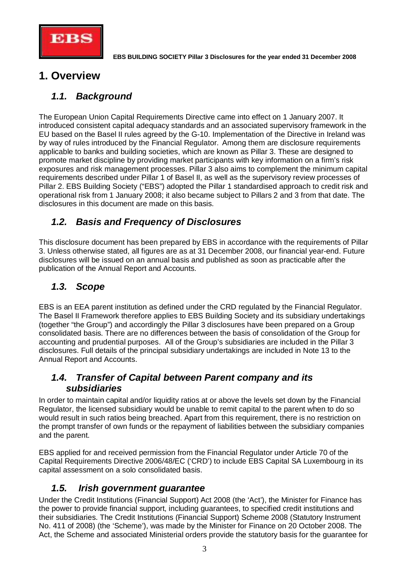

# **1. Overview**

# *1.1. Background*

The European Union Capital Requirements Directive came into effect on 1 January 2007. It introduced consistent capital adequacy standards and an associated supervisory framework in the EU based on the Basel II rules agreed by the G-10. Implementation of the Directive in Ireland was by way of rules introduced by the Financial Regulator. Among them are disclosure requirements applicable to banks and building societies, which are known as Pillar 3. These are designed to promote market discipline by providing market participants with key information on a firm's risk exposures and risk management processes. Pillar 3 also aims to complement the minimum capital requirements described under Pillar 1 of Basel II, as well as the supervisory review processes of Pillar 2. EBS Building Society ("EBS") adopted the Pillar 1 standardised approach to credit risk and operational risk from 1 January 2008; it also became subject to Pillars 2 and 3 from that date. The disclosures in this document are made on this basis.

# *1.2. Basis and Frequency of Disclosures*

This disclosure document has been prepared by EBS in accordance with the requirements of Pillar 3. Unless otherwise stated, all figures are as at 31 December 2008, our financial year-end. Future disclosures will be issued on an annual basis and published as soon as practicable after the publication of the Annual Report and Accounts.

# *1.3. Scope*

EBS is an EEA parent institution as defined under the CRD regulated by the Financial Regulator. The Basel II Framework therefore applies to EBS Building Society and its subsidiary undertakings (together "the Group") and accordingly the Pillar 3 disclosures have been prepared on a Group consolidated basis. There are no differences between the basis of consolidation of the Group for accounting and prudential purposes. All of the Group's subsidiaries are included in the Pillar 3 disclosures. Full details of the principal subsidiary undertakings are included in Note 13 to the Annual Report and Accounts.

### *1.4. Transfer of Capital between Parent company and its subsidiaries*

In order to maintain capital and/or liquidity ratios at or above the levels set down by the Financial Regulator, the licensed subsidiary would be unable to remit capital to the parent when to do so would result in such ratios being breached. Apart from this requirement, there is no restriction on the prompt transfer of own funds or the repayment of liabilities between the subsidiary companies and the parent.

EBS applied for and received permission from the Financial Regulator under Article 70 of the Capital Requirements Directive 2006/48/EC ('CRD') to include EBS Capital SA Luxembourg in its capital assessment on a solo consolidated basis.

## *1.5. Irish government guarantee*

Under the Credit Institutions (Financial Support) Act 2008 (the 'Act'), the Minister for Finance has the power to provide financial support, including guarantees, to specified credit institutions and their subsidiaries. The Credit Institutions (Financial Support) Scheme 2008 (Statutory Instrument No. 411 of 2008) (the 'Scheme'), was made by the Minister for Finance on 20 October 2008. The Act, the Scheme and associated Ministerial orders provide the statutory basis for the guarantee for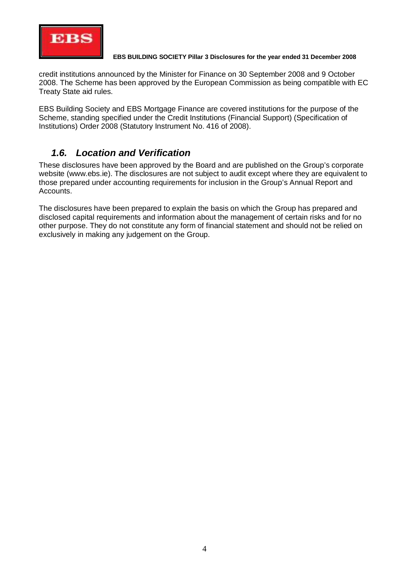

credit institutions announced by the Minister for Finance on 30 September 2008 and 9 October 2008. The Scheme has been approved by the European Commission as being compatible with EC Treaty State aid rules.

EBS Building Society and EBS Mortgage Finance are covered institutions for the purpose of the Scheme, standing specified under the Credit Institutions (Financial Support) (Specification of Institutions) Order 2008 (Statutory Instrument No. 416 of 2008).

## *1.6. Location and Verification*

These disclosures have been approved by the Board and are published on the Group's corporate website ([www.ebs.ie\).](http://www.ebs.ie).) The disclosures are not subject to audit except where they are equivalent to those prepared under accounting requirements for inclusion in the Group's Annual Report and Accounts.

The disclosures have been prepared to explain the basis on which the Group has prepared and disclosed capital requirements and information about the management of certain risks and for no other purpose. They do not constitute any form of financial statement and should not be relied on exclusively in making any judgement on the Group.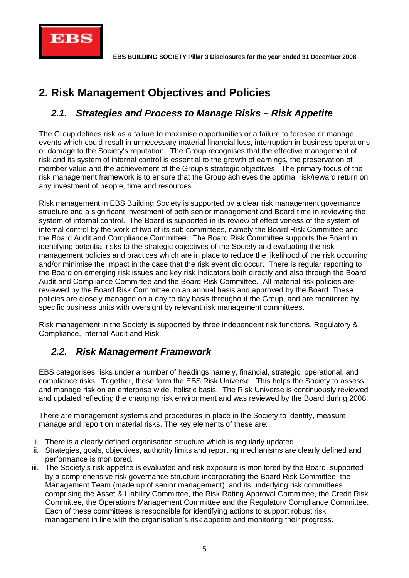

# **2. Risk Management Objectives and Policies**

# *2.1. Strategies and Process to Manage Risks – Risk Appetite*

The Group defines risk as a failure to maximise opportunities or a failure to foresee or manage events which could result in unnecessary material financial loss, interruption in business operations or damage to the Society's reputation. The Group recognises that the effective management of risk and its system of internal control is essential to the growth of earnings, the preservation of member value and the achievement of the Group's strategic objectives. The primary focus of the risk management framework is to ensure that the Group achieves the optimal risk/reward return on any investment of people, time and resources.

Risk management in EBS Building Society is supported by a clear risk management governance structure and a significant investment of both senior management and Board time in reviewing the system of internal control. The Board is supported in its review of effectiveness of the system of internal control by the work of two of its sub committees, namely the Board Risk Committee and the Board Audit and Compliance Committee. The Board Risk Committee supports the Board in identifying potential risks to the strategic objectives of the Society and evaluating the risk management policies and practices which are in place to reduce the likelihood of the risk occurring and/or minimise the impact in the case that the risk event did occur. There is regular reporting to the Board on emerging risk issues and key risk indicators both directly and also through the Board Audit and Compliance Committee and the Board Risk Committee. All material risk policies are reviewed by the Board Risk Committee on an annual basis and approved by the Board. These policies are closely managed on a day to day basis throughout the Group, and are monitored by specific business units with oversight by relevant risk management committees.

Risk management in the Society is supported by three independent risk functions, Regulatory & Compliance, Internal Audit and Risk.

# *2.2. Risk Management Framework*

EBS categorises risks under a number of headings namely, financial, strategic, operational, and compliance risks. Together, these form the EBS Risk Universe. This helps the Society to assess and manage risk on an enterprise wide, holistic basis. The Risk Universe is continuously reviewed and updated reflecting the changing risk environment and was reviewed by the Board during 2008.

There are management systems and procedures in place in the Society to identify, measure, manage and report on material risks. The key elements of these are:

- i. There is a clearly defined organisation structure which is regularly updated.
- ii. Strategies, goals, objectives, authority limits and reporting mechanisms are clearly defined and performance is monitored.
- iii. The Society's risk appetite is evaluated and risk exposure is monitored by the Board, supported by a comprehensive risk governance structure incorporating the Board Risk Committee, the Management Team (made up of senior management), and its underlying risk committees comprising the Asset & Liability Committee, the Risk Rating Approval Committee, the Credit Risk Committee, the Operations Management Committee and the Regulatory Compliance Committee. Each of these committees is responsible for identifying actions to support robust risk management in line with the organisation's risk appetite and monitoring their progress.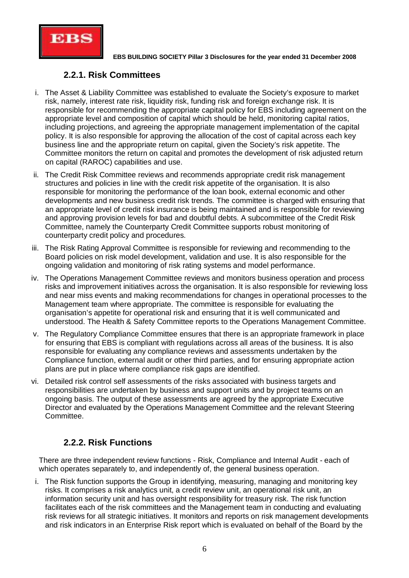

### **2.2.1. Risk Committees**

- i. The Asset & Liability Committee was established to evaluate the Society's exposure to market risk, namely, interest rate risk, liquidity risk, funding risk and foreign exchange risk. It is responsible for recommending the appropriate capital policy for EBS including agreement on the appropriate level and composition of capital which should be held, monitoring capital ratios, including projections, and agreeing the appropriate management implementation of the capital policy. It is also responsible for approving the allocation of the cost of capital across each key business line and the appropriate return on capital, given the Society's risk appetite. The Committee monitors the return on capital and promotes the development of risk adjusted return on capital (RAROC) capabilities and use.
- ii. The Credit Risk Committee reviews and recommends appropriate credit risk management structures and policies in line with the credit risk appetite of the organisation. It is also responsible for monitoring the performance of the loan book, external economic and other developments and new business credit risk trends. The committee is charged with ensuring that an appropriate level of credit risk insurance is being maintained and is responsible for reviewing and approving provision levels for bad and doubtful debts. A subcommittee of the Credit Risk Committee, namely the Counterparty Credit Committee supports robust monitoring of counterparty credit policy and procedures.
- iii. The Risk Rating Approval Committee is responsible for reviewing and recommending to the Board policies on risk model development, validation and use. It is also responsible for the ongoing validation and monitoring of risk rating systems and model performance.
- iv. The Operations Management Committee reviews and monitors business operation and process risks and improvement initiatives across the organisation. It is also responsible for reviewing loss and near miss events and making recommendations for changes in operational processes to the Management team where appropriate. The committee is responsible for evaluating the organisation's appetite for operational risk and ensuring that it is well communicated and understood. The Health & Safety Committee reports to the Operations Management Committee.
- v. The Regulatory Compliance Committee ensures that there is an appropriate framework in place for ensuring that EBS is compliant with regulations across all areas of the business. It is also responsible for evaluating any compliance reviews and assessments undertaken by the Compliance function, external audit or other third parties, and for ensuring appropriate action plans are put in place where compliance risk gaps are identified.
- vi. Detailed risk control self assessments of the risks associated with business targets and responsibilities are undertaken by business and support units and by project teams on an ongoing basis. The output of these assessments are agreed by the appropriate Executive Director and evaluated by the Operations Management Committee and the relevant Steering Committee.

### **2.2.2. Risk Functions**

There are three independent review functions - Risk, Compliance and Internal Audit - each of which operates separately to, and independently of, the general business operation.

i. The Risk function supports the Group in identifying, measuring, managing and monitoring key risks. It comprises a risk analytics unit, a credit review unit, an operational risk unit, an information security unit and has oversight responsibility for treasury risk. The risk function facilitates each of the risk committees and the Management team in conducting and evaluating risk reviews for all strategic initiatives. It monitors and reports on risk management developments and risk indicators in an Enterprise Risk report which is evaluated on behalf of the Board by the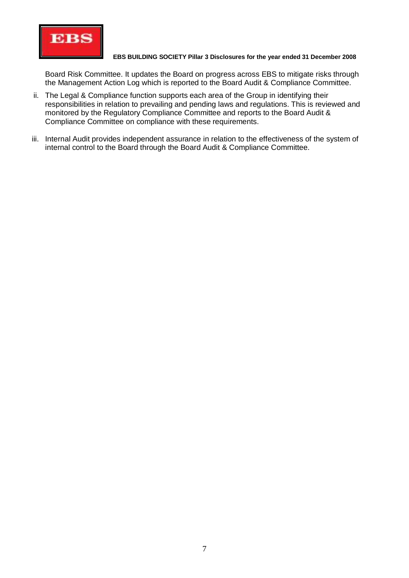

Board Risk Committee. It updates the Board on progress across EBS to mitigate risks through the Management Action Log which is reported to the Board Audit & Compliance Committee.

- ii. The Legal & Compliance function supports each area of the Group in identifying their responsibilities in relation to prevailing and pending laws and regulations. This is reviewed and monitored by the Regulatory Compliance Committee and reports to the Board Audit & Compliance Committee on compliance with these requirements.
- iii. Internal Audit provides independent assurance in relation to the effectiveness of the system of internal control to the Board through the Board Audit & Compliance Committee.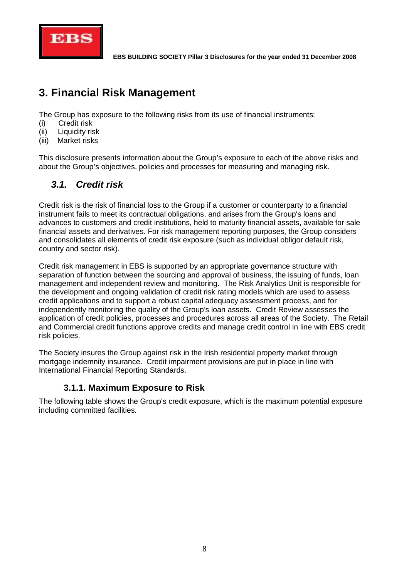

# **3. Financial Risk Management**

The Group has exposure to the following risks from its use of financial instruments:

- (i) Credit risk
- (ii) Liquidity risk
- (iii) Market risks

This disclosure presents information about the Group's exposure to each of the above risks and about the Group's objectives, policies and processes for measuring and managing risk.

# *3.1. Credit risk*

Credit risk is the risk of financial loss to the Group if a customer or counterparty to a financial instrument fails to meet its contractual obligations, and arises from the Group's loans and advances to customers and credit institutions, held to maturity financial assets, available for sale financial assets and derivatives. For risk management reporting purposes, the Group considers and consolidates all elements of credit risk exposure (such as individual obligor default risk, country and sector risk).

Credit risk management in EBS is supported by an appropriate governance structure with separation of function between the sourcing and approval of business, the issuing of funds, loan management and independent review and monitoring. The Risk Analytics Unit is responsible for the development and ongoing validation of credit risk rating models which are used to assess credit applications and to support a robust capital adequacy assessment process, and for independently monitoring the quality of the Group's loan assets. Credit Review assesses the application of credit policies, processes and procedures across all areas of the Society. The Retail and Commercial credit functions approve credits and manage credit control in line with EBS credit risk policies.

The Society insures the Group against risk in the Irish residential property market through mortgage indemnity insurance. Credit impairment provisions are put in place in line with International Financial Reporting Standards.

### **3.1.1. Maximum Exposure to Risk**

The following table shows the Group's credit exposure, which is the maximum potential exposure including committed facilities.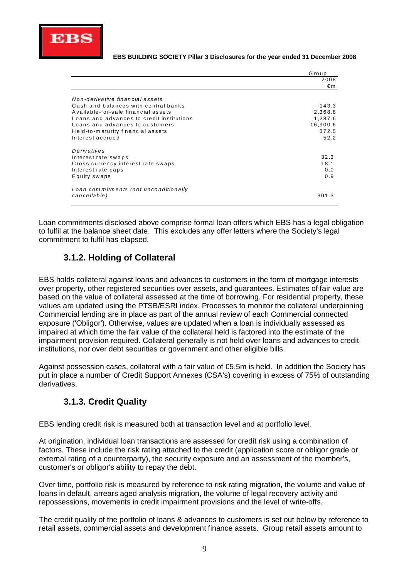

|                                           | Group    |
|-------------------------------------------|----------|
|                                           | 2008     |
|                                           | €m       |
| Non-derivative financial assets           |          |
| Cash and balances with central banks      | 143.3    |
| Available-for-sale financial assets       |          |
|                                           | 2,368.8  |
| Loans and advances to credit institutions | 1,287.6  |
| Loans and advances to customers           | 16,900.6 |
| Held-to-maturity financial assets         | 372.5    |
| Interest accrued                          | 52.2     |
| Derivatives                               |          |
| Interest rate swaps                       | 32.3     |
| Cross currency interest rate swaps        | 18.1     |
| Interest rate caps                        | 0.0      |
| Equity swaps                              | 0.9      |
|                                           |          |
| Loan commitments (not unconditionally     |          |
| cancellable)                              | 301.3    |
|                                           |          |

Loan commitments disclosed above comprise formal loan offers which EBS has a legal obligation to fulfil at the balance sheet date. This excludes any offer letters where the Society's legal commitment to fulfil has elapsed.

### **3.1.2. Holding of Collateral**

EBS holds collateral against loans and advances to customers in the form of mortgage interests over property, other registered securities over assets, and guarantees. Estimates of fair value are based on the value of collateral assessed at the time of borrowing. For residential property, these values are updated using the PTSB/ESRI index. Processes to monitor the collateral underpinning Commercial lending are in place as part of the annual review of each Commercial connected exposure ('Obligor'). Otherwise, values are updated when a loan is individually assessed as impaired at which time the fair value of the collateral held is factored into the estimate of the impairment provision required. Collateral generally is not held over loans and advances to credit institutions, nor over debt securities or government and other eligible bills.

Against possession cases, collateral with a fair value of €5.5m is held. In addition the Society has put in place a number of Credit Support Annexes (CSA's) covering in excess of 75% of outstanding derivatives.

### **3.1.3. Credit Quality**

EBS lending credit risk is measured both at transaction level and at portfolio level.

At origination, individual loan transactions are assessed for credit risk using a combination of factors. These include the risk rating attached to the credit (application score or obligor grade or external rating of a counterparty), the security exposure and an assessment of the member's, customer's or obligor's ability to repay the debt.

Over time, portfolio risk is measured by reference to risk rating migration, the volume and value of loans in default, arrears aged analysis migration, the volume of legal recovery activity and repossessions, movements in credit impairment provisions and the level of write-offs.

The credit quality of the portfolio of loans & advances to customers is set out below by reference to retail assets, commercial assets and development finance assets. Group retail assets amount to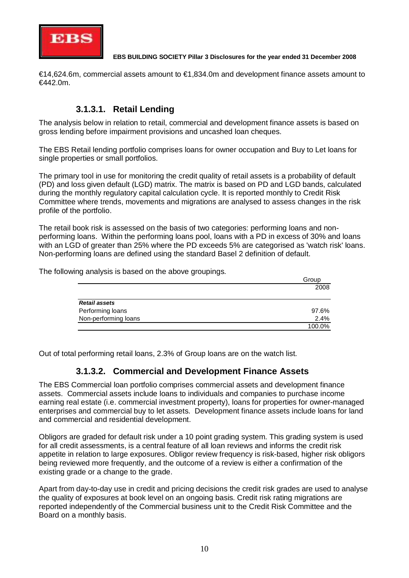

€14,624.6m, commercial assets amount to €1,834.0m and development finance assets amount to €442.0m.

### **3.1.3.1. Retail Lending**

The analysis below in relation to retail, commercial and development finance assets is based on gross lending before impairment provisions and uncashed loan cheques.

The EBS Retail lending portfolio comprises loans for owner occupation and Buy to Let loans for single properties or small portfolios.

The primary tool in use for monitoring the credit quality of retail assets is a probability of default (PD) and loss given default (LGD) matrix. The matrix is based on PD and LGD bands, calculated during the monthly regulatory capital calculation cycle. It is reported monthly to Credit Risk Committee where trends, movements and migrations are analysed to assess changes in the risk profile of the portfolio.

The retail book risk is assessed on the basis of two categories: performing loans and nonperforming loans. Within the performing loans pool, loans with a PD in excess of 30% and loans with an LGD of greater than 25% where the PD exceeds 5% are categorised as 'watch risk' loans. Non-performing loans are defined using the standard Basel 2 definition of default.

The following analysis is based on the above groupings.

|                      | Group  |
|----------------------|--------|
|                      | 2008   |
| <b>Retail assets</b> |        |
| Performing loans     | 97.6%  |
| Non-performing loans | 2.4%   |
|                      | 100.0% |

Out of total performing retail loans, 2.3% of Group loans are on the watch list.

### **3.1.3.2. Commercial and Development Finance Assets**

The EBS Commercial loan portfolio comprises commercial assets and development finance assets. Commercial assets include loans to individuals and companies to purchase income earning real estate (i.e. commercial investment property), loans for properties for owner-managed enterprises and commercial buy to let assets. Development finance assets include loans for land and commercial and residential development.

Obligors are graded for default risk under a 10 point grading system. This grading system is used for all credit assessments, is a central feature of all loan reviews and informs the credit risk appetite in relation to large exposures. Obligor review frequency is risk-based, higher risk obligors being reviewed more frequently, and the outcome of a review is either a confirmation of the existing grade or a change to the grade.

Apart from day-to-day use in credit and pricing decisions the credit risk grades are used to analyse the quality of exposures at book level on an ongoing basis. Credit risk rating migrations are reported independently of the Commercial business unit to the Credit Risk Committee and the Board on a monthly basis.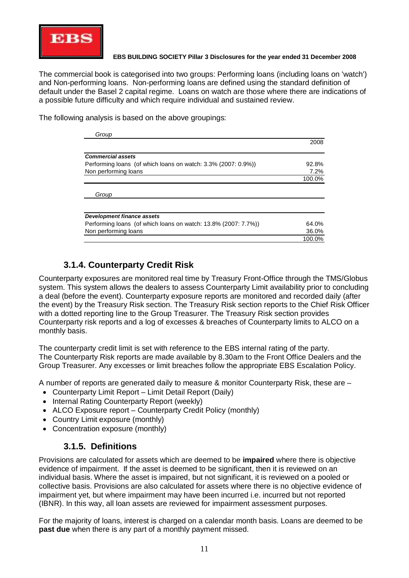

The commercial book is categorised into two groups: Performing loans (including loans on 'watch') and Non-performing loans. Non-performing loans are defined using the standard definition of default under the Basel 2 capital regime. Loans on watch are those where there are indications of a possible future difficulty and which require individual and sustained review.

The following analysis is based on the above groupings:

| Group                                                          |        |
|----------------------------------------------------------------|--------|
|                                                                | 2008   |
| <b>Commercial assets</b>                                       |        |
| Performing loans (of which loans on watch: 3.3% (2007: 0.9%))  | 92.8%  |
| Non performing loans                                           | 7.2%   |
|                                                                | 100.0% |
| Group                                                          |        |
|                                                                |        |
| Development finance assets                                     |        |
| Performing loans (of which loans on watch: 13.8% (2007: 7.7%)) | 64.0%  |
| Non performing loans                                           | 36.0%  |
|                                                                | 100.0% |

### **3.1.4. Counterparty Credit Risk**

Counterparty exposures are monitored real time by Treasury Front-Office through the TMS/Globus system. This system allows the dealers to assess Counterparty Limit availability prior to concluding a deal (before the event). Counterparty exposure reports are monitored and recorded daily (after the event) by the Treasury Risk section. The Treasury Risk section reports to the Chief Risk Officer with a dotted reporting line to the Group Treasurer. The Treasury Risk section provides Counterparty risk reports and a log of excesses & breaches of Counterparty limits to ALCO on a monthly basis.

The counterparty credit limit is set with reference to the EBS internal rating of the party. The Counterparty Risk reports are made available by 8.30am to the Front Office Dealers and the Group Treasurer. Any excesses or limit breaches follow the appropriate EBS Escalation Policy.

A number of reports are generated daily to measure & monitor Counterparty Risk, these are –

- Counterparty Limit Report Limit Detail Report (Daily)
- Internal Rating Counterparty Report (weekly)
- ALCO Exposure report Counterparty Credit Policy (monthly)
- Country Limit exposure (monthly)
- Concentration exposure (monthly)

### **3.1.5. Definitions**

Provisions are calculated for assets which are deemed to be **impaired** where there is objective evidence of impairment. If the asset is deemed to be significant, then it is reviewed on an individual basis. Where the asset is impaired, but not significant, it is reviewed on a pooled or collective basis. Provisions are also calculated for assets where there is no objective evidence of impairment yet, but where impairment may have been incurred i.e. incurred but not reported (IBNR). In this way, all loan assets are reviewed for impairment assessment purposes.

For the majority of loans, interest is charged on a calendar month basis. Loans are deemed to be **past due** when there is any part of a monthly payment missed.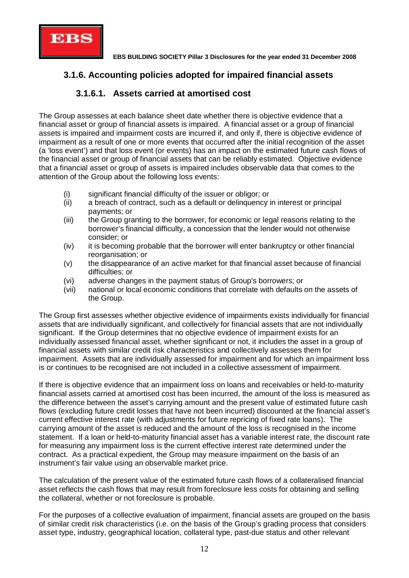

### **3.1.6. Accounting policies adopted for impaired financial assets**

### **3.1.6.1. Assets carried at amortised cost**

The Group assesses at each balance sheet date whether there is objective evidence that a financial asset or group of financial assets is impaired. A financial asset or a group of financial assets is impaired and impairment costs are incurred if, and only if, there is objective evidence of impairment as a result of one or more events that occurred after the initial recognition of the asset (a 'loss event') and that loss event (or events) has an impact on the estimated future cash flows of the financial asset or group of financial assets that can be reliably estimated. Objective evidence that a financial asset or group of assets is impaired includes observable data that comes to the attention of the Group about the following loss events:

- (i) significant financial difficulty of the issuer or obligor; or
- (ii) a breach of contract, such as a default or delinquency in interest or principal payments; or
- (iii) the Group granting to the borrower, for economic or legal reasons relating to the borrower's financial difficulty, a concession that the lender would not otherwise consider; or
- (iv) it is becoming probable that the borrower will enter bankruptcy or other financial reorganisation; or
- (v) the disappearance of an active market for that financial asset because of financial difficulties; or
- (vi) adverse changes in the payment status of Group's borrowers; or
- (vii) national or local economic conditions that correlate with defaults on the assets of the Group.

The Group first assesses whether objective evidence of impairments exists individually for financial assets that are individually significant, and collectively for financial assets that are not individually significant. If the Group determines that no objective evidence of impairment exists for an individually assessed financial asset, whether significant or not, it includes the asset in a group of financial assets with similar credit risk characteristics and collectively assesses them for impairment. Assets that are individually assessed for impairment and for which an impairment loss is or continues to be recognised are not included in a collective assessment of impairment.

If there is objective evidence that an impairment loss on loans and receivables or held-to-maturity financial assets carried at amortised cost has been incurred, the amount of the loss is measured as the difference between the asset's carrying amount and the present value of estimated future cash flows (excluding future credit losses that have not been incurred) discounted at the financial asset's current effective interest rate (with adjustments for future repricing of fixed rate loans). The carrying amount of the asset is reduced and the amount of the loss is recognised in the income statement. If a loan or held-to-maturity financial asset has a variable interest rate, the discount rate for measuring any impairment loss is the current effective interest rate determined under the contract. As a practical expedient, the Group may measure impairment on the basis of an instrument's fair value using an observable market price.

The calculation of the present value of the estimated future cash flows of a collateralised financial asset reflects the cash flows that may result from foreclosure less costs for obtaining and selling the collateral, whether or not foreclosure is probable.

For the purposes of a collective evaluation of impairment, financial assets are grouped on the basis of similar credit risk characteristics (i.e. on the basis of the Group's grading process that considers asset type, industry, geographical location, collateral type, past-due status and other relevant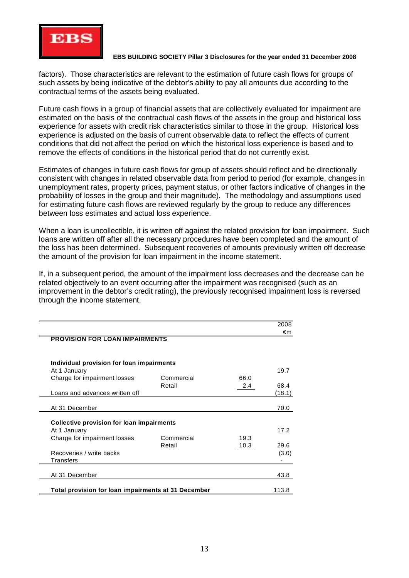

factors). Those characteristics are relevant to the estimation of future cash flows for groups of such assets by being indicative of the debtor's ability to pay all amounts due according to the contractual terms of the assets being evaluated.

Future cash flows in a group of financial assets that are collectively evaluated for impairment are estimated on the basis of the contractual cash flows of the assets in the group and historical loss experience for assets with credit risk characteristics similar to those in the group. Historical loss experience is adjusted on the basis of current observable data to reflect the effects of current conditions that did not affect the period on which the historical loss experience is based and to remove the effects of conditions in the historical period that do not currently exist.

Estimates of changes in future cash flows for group of assets should reflect and be directionally consistent with changes in related observable data from period to period (for example, changes in unemployment rates, property prices, payment status, or other factors indicative of changes in the probability of losses in the group and their magnitude). The methodology and assumptions used for estimating future cash flows are reviewed regularly by the group to reduce any differences between loss estimates and actual loss experience.

When a loan is uncollectible, it is written off against the related provision for loan impairment. Such loans are written off after all the necessary procedures have been completed and the amount of the loss has been determined. Subsequent recoveries of amounts previously written off decrease the amount of the provision for loan impairment in the income statement.

If, in a subsequent period, the amount of the impairment loss decreases and the decrease can be related objectively to an event occurring after the impairment was recognised (such as an improvement in the debtor's credit rating), the previously recognised impairment loss is reversed through the income statement.

|                                                  |            |      | 2008   |
|--------------------------------------------------|------------|------|--------|
| <b>PROVISION FOR LOAN IMPAIRMENTS</b>            |            |      | €m     |
| Individual provision for loan impairments        |            |      |        |
| At 1 January                                     |            |      | 19.7   |
| Charge for impairment losses                     | Commercial | 66.0 |        |
|                                                  | Retail     | 2.4  | 68.4   |
| Loans and advances written off                   |            |      | (18.1) |
|                                                  |            |      |        |
| At 31 December                                   |            |      | 70.0   |
|                                                  |            |      |        |
| <b>Collective provision for loan impairments</b> |            |      |        |
| At 1 January                                     |            |      | 17.2   |
| Charge for impairment losses                     | Commercial | 19.3 |        |
|                                                  | Retail     | 10.3 | 29.6   |
| Recoveries / write backs                         |            |      | (3.0)  |
| Transfers                                        |            |      |        |
|                                                  |            |      |        |
| At 31 December                                   |            |      | 43.8   |
|                                                  |            |      |        |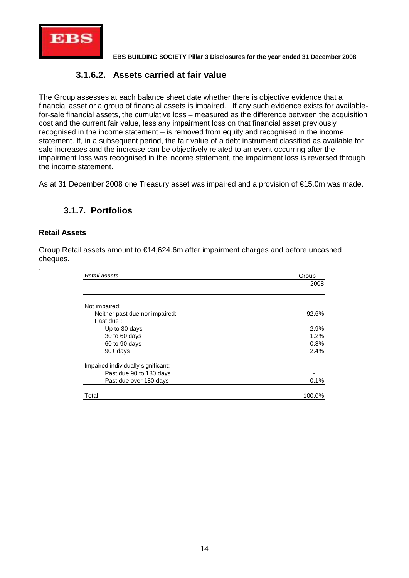

### **3.1.6.2. Assets carried at fair value**

The Group assesses at each balance sheet date whether there is objective evidence that a financial asset or a group of financial assets is impaired. If any such evidence exists for availablefor-sale financial assets, the cumulative loss – measured as the difference between the acquisition cost and the current fair value, less any impairment loss on that financial asset previously recognised in the income statement – is removed from equity and recognised in the income statement. If, in a subsequent period, the fair value of a debt instrument classified as available for sale increases and the increase can be objectively related to an event occurring after the impairment loss was recognised in the income statement, the impairment loss is reversed through the income statement.

As at 31 December 2008 one Treasury asset was impaired and a provision of €15.0m was made.

### **3.1.7. Portfolios**

#### **Retail Assets**

.

Group Retail assets amount to €14,624.6m after impairment charges and before uncashed cheques.

| <b>Retail assets</b>               | Group  |
|------------------------------------|--------|
|                                    | 2008   |
|                                    |        |
| Not impaired:                      |        |
| Neither past due nor impaired:     | 92.6%  |
| Past due:                          |        |
| Up to 30 days                      | 2.9%   |
| 30 to 60 days                      | 1.2%   |
| 60 to 90 days                      | 0.8%   |
| $90 + days$                        | 2.4%   |
| Impaired individually significant: |        |
| Past due 90 to 180 days            |        |
| Past due over 180 days             | 0.1%   |
| Total                              | 100.0% |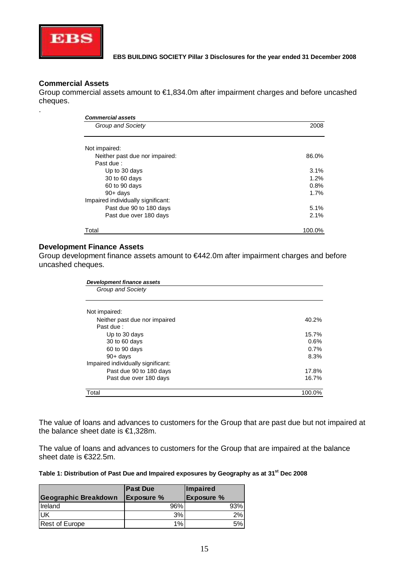

#### **Commercial Assets**

.

Group commercial assets amount to €1,834.0m after impairment charges and before uncashed cheques.

| <b>Commercial assets</b>           |        |  |  |  |
|------------------------------------|--------|--|--|--|
| Group and Society                  | 2008   |  |  |  |
| Not impaired:                      |        |  |  |  |
| Neither past due nor impaired:     | 86.0%  |  |  |  |
| Past due:                          |        |  |  |  |
| Up to 30 days                      | 3.1%   |  |  |  |
| 30 to 60 days                      | 1.2%   |  |  |  |
| 60 to 90 days                      | 0.8%   |  |  |  |
| $90+ days$                         | 1.7%   |  |  |  |
| Impaired individually significant: |        |  |  |  |
| Past due 90 to 180 days            | 5.1%   |  |  |  |
| Past due over 180 days             | 2.1%   |  |  |  |
| Total                              | 100.0% |  |  |  |

#### **Development Finance Assets**

Group development finance assets amount to €442.0m after impairment charges and before uncashed cheques.

| Development finance assets         |        |  |  |  |
|------------------------------------|--------|--|--|--|
| Group and Society                  |        |  |  |  |
|                                    |        |  |  |  |
| Not impaired:                      |        |  |  |  |
| Neither past due nor impaired      | 40.2%  |  |  |  |
| Past due:                          |        |  |  |  |
| Up to 30 days                      | 15.7%  |  |  |  |
| 30 to 60 days                      | 0.6%   |  |  |  |
| 60 to 90 days                      | 0.7%   |  |  |  |
| $90 + days$                        | 8.3%   |  |  |  |
| Impaired individually significant: |        |  |  |  |
| Past due 90 to 180 days            | 17.8%  |  |  |  |
| Past due over 180 days             | 16.7%  |  |  |  |
| Total                              | 100.0% |  |  |  |

The value of loans and advances to customers for the Group that are past due but not impaired at the balance sheet date is €1,328m.

The value of loans and advances to customers for the Group that are impaired at the balance sheet date is €322.5m.

#### **Table 1: Distribution of Past Due and Impaired exposures by Geography as at 31st Dec 2008**

|                             | <b>Past Due</b>   | Impaired          |
|-----------------------------|-------------------|-------------------|
| <b>Geographic Breakdown</b> | <b>Exposure %</b> | <b>Exposure %</b> |
| <b>I</b> reland             | 96%               | 93%               |
| UK                          | 3%                | 2%                |
| <b>Rest of Europe</b>       | 1%                | 5%                |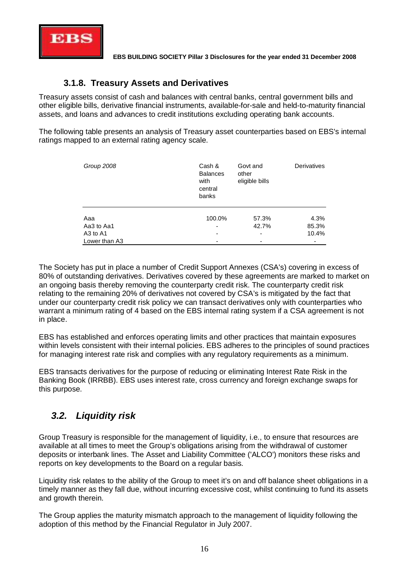

### **3.1.8. Treasury Assets and Derivatives**

Treasury assets consist of cash and balances with central banks, central government bills and other eligible bills, derivative financial instruments, available-for-sale and held-to-maturity financial assets, and loans and advances to credit institutions excluding operating bank accounts.

The following table presents an analysis of Treasury asset counterparties based on EBS's internal ratings mapped to an external rating agency scale.

| Group 2008                       | Cash &<br><b>Balances</b><br>with<br>central<br>banks | Govt and<br>other<br>eligible bills | Derivatives |
|----------------------------------|-------------------------------------------------------|-------------------------------------|-------------|
| Aaa                              | 100.0%                                                | 57.3%                               | 4.3%        |
| Aa3 to Aa1                       | ۰                                                     | 42.7%                               | 85.3%       |
| A <sub>3</sub> to A <sub>1</sub> | $\overline{\phantom{0}}$                              | $\overline{\phantom{0}}$            | 10.4%       |
| Lower than A3                    |                                                       |                                     |             |

The Society has put in place a number of Credit Support Annexes (CSA's) covering in excess of 80% of outstanding derivatives. Derivatives covered by these agreements are marked to market on an ongoing basis thereby removing the counterparty credit risk. The counterparty credit risk relating to the remaining 20% of derivatives not covered by CSA's is mitigated by the fact that under our counterparty credit risk policy we can transact derivatives only with counterparties who warrant a minimum rating of 4 based on the EBS internal rating system if a CSA agreement is not in place.

EBS has established and enforces operating limits and other practices that maintain exposures within levels consistent with their internal policies. EBS adheres to the principles of sound practices for managing interest rate risk and complies with any regulatory requirements as a minimum.

EBS transacts derivatives for the purpose of reducing or eliminating Interest Rate Risk in the Banking Book (IRRBB). EBS uses interest rate, cross currency and foreign exchange swaps for this purpose.

## *3.2. Liquidity risk*

Group Treasury is responsible for the management of liquidity, i.e., to ensure that resources are available at all times to meet the Group's obligations arising from the withdrawal of customer deposits or interbank lines. The Asset and Liability Committee ('ALCO') monitors these risks and reports on key developments to the Board on a regular basis.

Liquidity risk relates to the ability of the Group to meet it's on and off balance sheet obligations in a timely manner as they fall due, without incurring excessive cost, whilst continuing to fund its assets and growth therein.

The Group applies the maturity mismatch approach to the management of liquidity following the adoption of this method by the Financial Regulator in July 2007.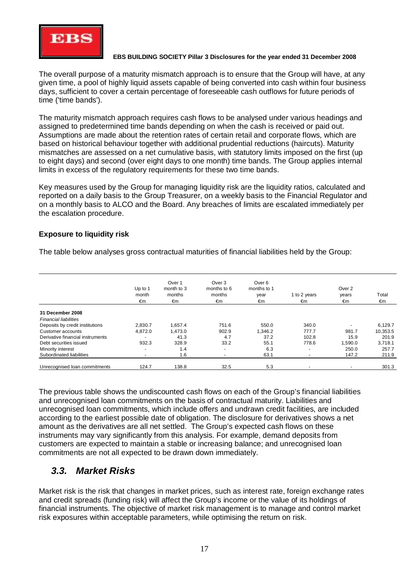

The overall purpose of a maturity mismatch approach is to ensure that the Group will have, at any given time, a pool of highly liquid assets capable of being converted into cash within four business days, sufficient to cover a certain percentage of foreseeable cash outflows for future periods of time ('time bands').

The maturity mismatch approach requires cash flows to be analysed under various headings and assigned to predetermined time bands depending on when the cash is received or paid out. Assumptions are made about the retention rates of certain retail and corporate flows, which are based on historical behaviour together with additional prudential reductions (haircuts). Maturity mismatches are assessed on a net cumulative basis, with statutory limits imposed on the first (up to eight days) and second (over eight days to one month) time bands. The Group applies internal limits in excess of the regulatory requirements for these two time bands.

Key measures used by the Group for managing liquidity risk are the liquidity ratios, calculated and reported on a daily basis to the Group Treasurer, on a weekly basis to the Financial Regulator and on a monthly basis to ALCO and the Board. Any breaches of limits are escalated immediately per the escalation procedure.

#### **Exposure to liquidity risk**

The table below analyses gross contractual maturities of financial liabilities held by the Group:

|                                  | Up to 1<br>month<br>€m   | Over 1<br>month to 3<br>months<br>€m | Over 3<br>months to 6<br>months<br>€m | Over <sub>6</sub><br>months to 1<br>year<br>€m | 1 to 2 years<br>€m       | Over 2<br>years<br>€m | Total<br>€m |
|----------------------------------|--------------------------|--------------------------------------|---------------------------------------|------------------------------------------------|--------------------------|-----------------------|-------------|
|                                  |                          |                                      |                                       |                                                |                          |                       |             |
| 31 December 2008                 |                          |                                      |                                       |                                                |                          |                       |             |
| <b>Financial liabilities</b>     |                          |                                      |                                       |                                                |                          |                       |             |
| Deposits by credit institutions  | 2,830.7                  | 1,657.4                              | 751.6                                 | 550.0                                          | 340.0                    |                       | 6,129.7     |
| Customer accounts                | 4.872.0                  | 1,473.0                              | 902.9                                 | 1,346.2                                        | 777.7                    | 981.7                 | 10,353.5    |
| Derivative financial instruments |                          | 41.3                                 | 4.7                                   | 37.2                                           | 102.8                    | 15.9                  | 201.9       |
| Debt securities issued           | 932.3                    | 328.9                                | 33.2                                  | 55.1                                           | 778.6                    | 1,590.0               | 3,718.1     |
| Minority interest                | $\overline{a}$           | 1.4                                  | $\blacksquare$                        | 6.3                                            | $\sim$                   | 250.0                 | 257.7       |
| Subordinated liabilities         | $\overline{\phantom{0}}$ | 1.6                                  |                                       | 63.1                                           | $\overline{\phantom{a}}$ | 147.2                 | 211.9       |
| Unrecognised Ioan commitments    | 124.7                    | 138.8                                | 32.5                                  | 5.3                                            |                          |                       | 301.3       |

The previous table shows the undiscounted cash flows on each of the Group's financial liabilities and unrecognised loan commitments on the basis of contractual maturity. Liabilities and unrecognised loan commitments, which include offers and undrawn credit facilities, are included according to the earliest possible date of obligation. The disclosure for derivatives shows a net amount as the derivatives are all net settled. The Group's expected cash flows on these instruments may vary significantly from this analysis. For example, demand deposits from customers are expected to maintain a stable or increasing balance; and unrecognised loan commitments are not all expected to be drawn down immediately.

### *3.3. Market Risks*

Market risk is the risk that changes in market prices, such as interest rate, foreign exchange rates and credit spreads (funding risk) will affect the Group's income or the value of its holdings of financial instruments. The objective of market risk management is to manage and control market risk exposures within acceptable parameters, while optimising the return on risk.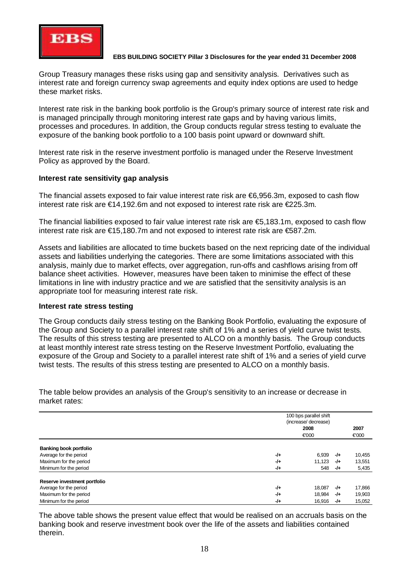

Group Treasury manages these risks using gap and sensitivity analysis. Derivatives such as interest rate and foreign currency swap agreements and equity index options are used to hedge these market risks.

Interest rate risk in the banking book portfolio is the Group's primary source of interest rate risk and is managed principally through monitoring interest rate gaps and by having various limits, processes and procedures. In addition, the Group conducts regular stress testing to evaluate the exposure of the banking book portfolio to a 100 basis point upward or downward shift.

Interest rate risk in the reserve investment portfolio is managed under the Reserve Investment Policy as approved by the Board.

#### **Interest rate sensitivity gap analysis**

The financial assets exposed to fair value interest rate risk are €6,956.3m, exposed to cash flow interest rate risk are €14,192.6m and not exposed to interest rate risk are €225.3m.

The financial liabilities exposed to fair value interest rate risk are €5,183.1m, exposed to cash flow interest rate risk are €15,180.7m and not exposed to interest rate risk are €587.2m.

Assets and liabilities are allocated to time buckets based on the next repricing date of the individual assets and liabilities underlying the categories. There are some limitations associated with this analysis, mainly due to market effects, over aggregation, run-offs and cashflows arising from off balance sheet activities. However, measures have been taken to minimise the effect of these limitations in line with industry practice and we are satisfied that the sensitivity analysis is an appropriate tool for measuring interest rate risk.

#### **Interest rate stress testing**

The Group conducts daily stress testing on the Banking Book Portfolio, evaluating the exposure of the Group and Society to a parallel interest rate shift of 1% and a series of yield curve twist tests. The results of this stress testing are presented to ALCO on a monthly basis. The Group conducts at least monthly interest rate stress testing on the Reserve Investment Portfolio, evaluating the exposure of the Group and Society to a parallel interest rate shift of 1% and a series of yield curve twist tests. The results of this stress testing are presented to ALCO on a monthly basis.

The table below provides an analysis of the Group's sensitivity to an increase or decrease in market rates:

|                               |       | 100 bps parallel shift<br>(increase/ decrease) |       |        |  |
|-------------------------------|-------|------------------------------------------------|-------|--------|--|
|                               |       |                                                |       |        |  |
|                               |       | 2008                                           |       | 2007   |  |
|                               |       | €000                                           |       | €000   |  |
| <b>Banking book portfolio</b> |       |                                                |       |        |  |
| Average for the period        | $-1+$ | 6,939                                          | $-/-$ | 10,455 |  |
| Maximum for the period        | $-1+$ | 11,123                                         | -/+   | 13,551 |  |
| Minimum for the period        | $-1+$ | 548                                            | -/+   | 5,435  |  |
| Reserve investment portfolio  |       |                                                |       |        |  |
| Average for the period        | $-1+$ | 18.087                                         | -/+   | 17,866 |  |
| Maximum for the period        | $-1+$ | 18,984                                         | -/+   | 19,903 |  |
| Minimum for the period        | $-1+$ | 16.916                                         | -/+   | 15,052 |  |

The above table shows the present value effect that would be realised on an accruals basis on the banking book and reserve investment book over the life of the assets and liabilities contained therein.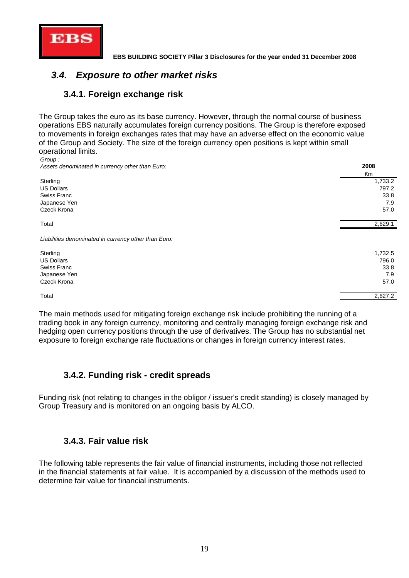

# *3.4. Exposure to other market risks*

### **3.4.1. Foreign exchange risk**

The Group takes the euro as its base currency. However, through the normal course of business operations EBS naturally accumulates foreign currency positions. The Group is therefore exposed to movements in foreign exchanges rates that may have an adverse effect on the economic value of the Group and Society. The size of the foreign currency open positions is kept within small operational limits.

*Group : Assets denominated in currency other than Euro:* **2008**

| Associo doriorminato e in carronoy othor than Earo.  | -       |
|------------------------------------------------------|---------|
|                                                      | €m      |
| Sterling                                             | 1,733.2 |
| <b>US Dollars</b>                                    | 797.2   |
| <b>Swiss Franc</b>                                   | 33.8    |
| Japanese Yen                                         | 7.9     |
| Czeck Krona                                          | 57.0    |
| Total                                                | 2,629.1 |
| Liabilities denominated in currency other than Euro: |         |
| Sterling                                             | 1,732.5 |
| <b>US Dollars</b>                                    | 796.0   |
| <b>Swiss Franc</b>                                   | 33.8    |
| Japanese Yen                                         | 7.9     |
| Czeck Krona                                          | 57.0    |
| Total                                                | 2,627.2 |

The main methods used for mitigating foreign exchange risk include prohibiting the running of a trading book in any foreign currency, monitoring and centrally managing foreign exchange risk and hedging open currency positions through the use of derivatives. The Group has no substantial net exposure to foreign exchange rate fluctuations or changes in foreign currency interest rates.

### **3.4.2. Funding risk - credit spreads**

Funding risk (not relating to changes in the obligor / issuer's credit standing) is closely managed by Group Treasury and is monitored on an ongoing basis by ALCO.

### **3.4.3. Fair value risk**

The following table represents the fair value of financial instruments, including those not reflected in the financial statements at fair value. It is accompanied by a discussion of the methods used to determine fair value for financial instruments.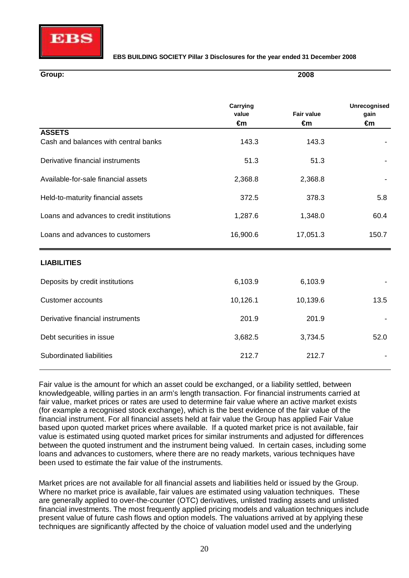

**2008**

#### **Group:**

|                                           | Carrying<br>value | <b>Fair value</b> | Unrecognised<br>gain |
|-------------------------------------------|-------------------|-------------------|----------------------|
|                                           | €m                | €m                | €m                   |
| <b>ASSETS</b>                             |                   |                   |                      |
| Cash and balances with central banks      | 143.3             | 143.3             |                      |
| Derivative financial instruments          | 51.3              | 51.3              |                      |
| Available-for-sale financial assets       | 2,368.8           | 2,368.8           |                      |
| Held-to-maturity financial assets         | 372.5             | 378.3             | 5.8                  |
| Loans and advances to credit institutions | 1,287.6           | 1,348.0           | 60.4                 |
| Loans and advances to customers           | 16,900.6          | 17,051.3          | 150.7                |
| <b>LIABILITIES</b>                        |                   |                   |                      |
| Deposits by credit institutions           | 6,103.9           | 6,103.9           |                      |
| <b>Customer accounts</b>                  | 10,126.1          | 10,139.6          | 13.5                 |
| Derivative financial instruments          | 201.9             | 201.9             |                      |
| Debt securities in issue                  | 3,682.5           | 3,734.5           | 52.0                 |
| Subordinated liabilities                  | 212.7             | 212.7             |                      |

Fair value is the amount for which an asset could be exchanged, or a liability settled, between knowledgeable, willing parties in an arm's length transaction. For financial instruments carried at fair value, market prices or rates are used to determine fair value where an active market exists (for example a recognised stock exchange), which is the best evidence of the fair value of the financial instrument. For all financial assets held at fair value the Group has applied Fair Value based upon quoted market prices where available. If a quoted market price is not available, fair value is estimated using quoted market prices for similar instruments and adjusted for differences between the quoted instrument and the instrument being valued. In certain cases, including some loans and advances to customers, where there are no ready markets, various techniques have been used to estimate the fair value of the instruments.

Market prices are not available for all financial assets and liabilities held or issued by the Group. Where no market price is available, fair values are estimated using valuation techniques. These are generally applied to over-the-counter (OTC) derivatives, unlisted trading assets and unlisted financial investments. The most frequently applied pricing models and valuation techniques include present value of future cash flows and option models. The valuations arrived at by applying these techniques are significantly affected by the choice of valuation model used and the underlying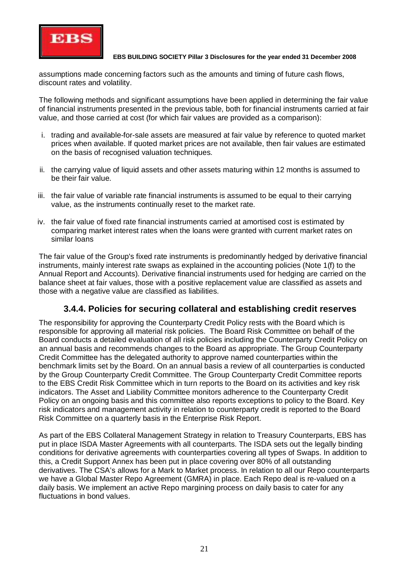

assumptions made concerning factors such as the amounts and timing of future cash flows, discount rates and volatility.

The following methods and significant assumptions have been applied in determining the fair value of financial instruments presented in the previous table, both for financial instruments carried at fair value, and those carried at cost (for which fair values are provided as a comparison):

- i. trading and available-for-sale assets are measured at fair value by reference to quoted market prices when available. If quoted market prices are not available, then fair values are estimated on the basis of recognised valuation techniques.
- ii. the carrying value of liquid assets and other assets maturing within 12 months is assumed to be their fair value.
- iii. the fair value of variable rate financial instruments is assumed to be equal to their carrying value, as the instruments continually reset to the market rate.
- iv. the fair value of fixed rate financial instruments carried at amortised cost is estimated by comparing market interest rates when the loans were granted with current market rates on similar loans

The fair value of the Group's fixed rate instruments is predominantly hedged by derivative financial instruments, mainly interest rate swaps as explained in the accounting policies (Note 1(f) to the Annual Report and Accounts). Derivative financial instruments used for hedging are carried on the balance sheet at fair values, those with a positive replacement value are classified as assets and those with a negative value are classified as liabilities.

### **3.4.4. Policies for securing collateral and establishing credit reserves**

The responsibility for approving the Counterparty Credit Policy rests with the Board which is responsible for approving all material risk policies. The Board Risk Committee on behalf of the Board conducts a detailed evaluation of all risk policies including the Counterparty Credit Policy on an annual basis and recommends changes to the Board as appropriate. The Group Counterparty Credit Committee has the delegated authority to approve named counterparties within the benchmark limits set by the Board. On an annual basis a review of all counterparties is conducted by the Group Counterparty Credit Committee. The Group Counterparty Credit Committee reports to the EBS Credit Risk Committee which in turn reports to the Board on its activities and key risk indicators. The Asset and Liability Committee monitors adherence to the Counterparty Credit Policy on an ongoing basis and this committee also reports exceptions to policy to the Board. Key risk indicators and management activity in relation to counterparty credit is reported to the Board Risk Committee on a quarterly basis in the Enterprise Risk Report.

As part of the EBS Collateral Management Strategy in relation to Treasury Counterparts, EBS has put in place ISDA Master Agreements with all counterparts. The ISDA sets out the legally binding conditions for derivative agreements with counterparties covering all types of Swaps. In addition to this, a Credit Support Annex has been put in place covering over 80% of all outstanding derivatives. The CSA's allows for a Mark to Market process. In relation to all our Repo counterparts we have a Global Master Repo Agreement (GMRA) in place. Each Repo deal is re-valued on a daily basis. We implement an active Repo margining process on daily basis to cater for any fluctuations in bond values.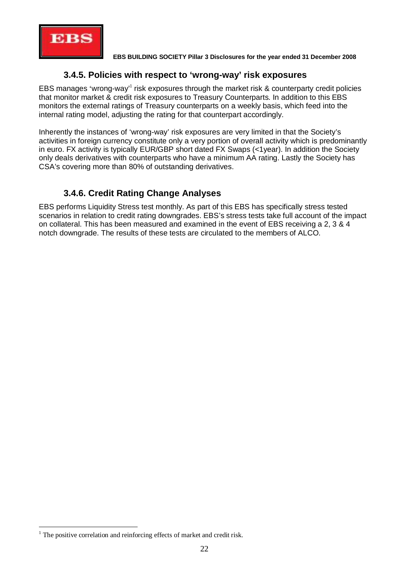

### **3.4.5. Policies with respect to 'wrong-way' risk exposures**

EBS manages 'wrong-way' risk exposures through the market risk & counterparty credit policies that monitor market & credit risk exposures to Treasury Counterparts. In addition to this EBS monitors the external ratings of Treasury counterparts on a weekly basis, which feed into the internal rating model, adjusting the rating for that counterpart accordingly.

Inherently the instances of 'wrong-way' risk exposures are very limited in that the Society's activities in foreign currency constitute only a very portion of overall activity which is predominantly in euro. FX activity is typically EUR/GBP short dated FX Swaps (<1year). In addition the Society only deals derivatives with counterparts who have a minimum AA rating. Lastly the Society has CSA's covering more than 80% of outstanding derivatives.

### **3.4.6. Credit Rating Change Analyses**

EBS performs Liquidity Stress test monthly. As part of this EBS has specifically stress tested scenarios in relation to credit rating downgrades. EBS's stress tests take full account of the impact on collateral. This has been measured and examined in the event of EBS receiving a 2, 3 & 4 notch downgrade. The results of these tests are circulated to the members of ALCO.

<sup>&</sup>lt;sup>1</sup> The positive correlation and reinforcing effects of market and credit risk.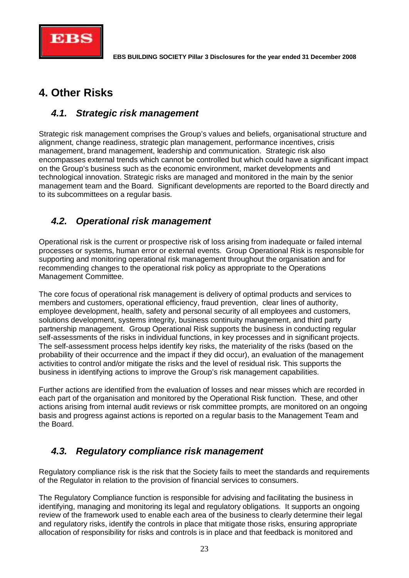

# **4. Other Risks**

# *4.1. Strategic risk management*

Strategic risk management comprises the Group's values and beliefs, organisational structure and alignment, change readiness, strategic plan management, performance incentives, crisis management, brand management, leadership and communication. Strategic risk also encompasses external trends which cannot be controlled but which could have a significant impact on the Group's business such as the economic environment, market developments and technological innovation. Strategic risks are managed and monitored in the main by the senior management team and the Board. Significant developments are reported to the Board directly and to its subcommittees on a regular basis.

# *4.2. Operational risk management*

Operational risk is the current or prospective risk of loss arising from inadequate or failed internal processes or systems, human error or external events. Group Operational Risk is responsible for supporting and monitoring operational risk management throughout the organisation and for recommending changes to the operational risk policy as appropriate to the Operations Management Committee.

The core focus of operational risk management is delivery of optimal products and services to members and customers, operational efficiency, fraud prevention, clear lines of authority, employee development, health, safety and personal security of all employees and customers, solutions development, systems integrity, business continuity management, and third party partnership management. Group Operational Risk supports the business in conducting regular self-assessments of the risks in individual functions, in key processes and in significant projects. The self-assessment process helps identify key risks, the materiality of the risks (based on the probability of their occurrence and the impact if they did occur), an evaluation of the management activities to control and/or mitigate the risks and the level of residual risk. This supports the business in identifying actions to improve the Group's risk management capabilities.

Further actions are identified from the evaluation of losses and near misses which are recorded in each part of the organisation and monitored by the Operational Risk function. These, and other actions arising from internal audit reviews or risk committee prompts, are monitored on an ongoing basis and progress against actions is reported on a regular basis to the Management Team and the Board.

# *4.3. Regulatory compliance risk management*

Regulatory compliance risk is the risk that the Society fails to meet the standards and requirements of the Regulator in relation to the provision of financial services to consumers.

The Regulatory Compliance function is responsible for advising and facilitating the business in identifying, managing and monitoring its legal and regulatory obligations. It supports an ongoing review of the framework used to enable each area of the business to clearly determine their legal and regulatory risks, identify the controls in place that mitigate those risks, ensuring appropriate allocation of responsibility for risks and controls is in place and that feedback is monitored and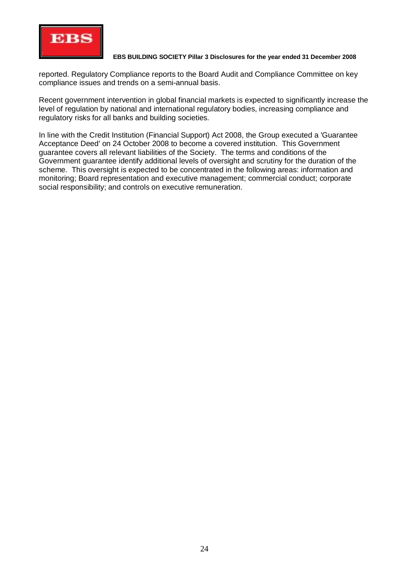

reported. Regulatory Compliance reports to the Board Audit and Compliance Committee on key compliance issues and trends on a semi-annual basis.

Recent government intervention in global financial markets is expected to significantly increase the level of regulation by national and international regulatory bodies, increasing compliance and regulatory risks for all banks and building societies.

In line with the Credit Institution (Financial Support) Act 2008, the Group executed a 'Guarantee Acceptance Deed' on 24 October 2008 to become a covered institution. This Government guarantee covers all relevant liabilities of the Society. The terms and conditions of the Government guarantee identify additional levels of oversight and scrutiny for the duration of the scheme. This oversight is expected to be concentrated in the following areas: information and monitoring; Board representation and executive management; commercial conduct; corporate social responsibility; and controls on executive remuneration.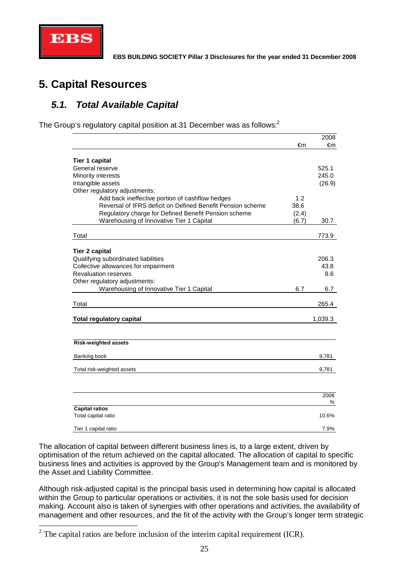

# **5. Capital Resources**

## *5.1. Total Available Capital*

The Group's regulatory capital position at 31 December was as follows:<sup>2</sup>

|                                                            |       | 2008    |
|------------------------------------------------------------|-------|---------|
|                                                            | €m    | €m      |
|                                                            |       |         |
| <b>Tier 1 capital</b><br>General reserve                   |       | 525.1   |
| Minority interests                                         |       | 245.0   |
| Intangible assets                                          |       | (26.9)  |
| Other regulatory adjustments:                              |       |         |
| Add back ineffective portion of cashflow hedges            | 1.2   |         |
| Reversal of IFRS deficit on Defined Benefit Pension scheme | 38.6  |         |
| Regulatory charge for Defined Benefit Pension scheme       | (2.4) |         |
| Warehousing of Innovative Tier 1 Capital                   | (6.7) | 30.7    |
|                                                            |       |         |
| Total                                                      |       | 773.9   |
| <b>Tier 2 capital</b>                                      |       |         |
| Qualifying subordinated liabilities                        |       | 206.3   |
| Collective allowances for impairment                       |       | 43.8    |
| <b>Revaluation reserves</b>                                |       | 8.6     |
| Other regulatory adjustments:                              |       |         |
| Warehousing of Innovative Tier 1 Capital                   | 6.7   | 6.7     |
| Total                                                      |       | 265.4   |
|                                                            |       |         |
| <b>Total regulatory capital</b>                            |       | 1,039.3 |
|                                                            |       |         |
| <b>Risk-weighted assets</b>                                |       |         |
| Banking book                                               |       | 9,781   |
|                                                            |       |         |
| Total risk-weighted assets                                 |       | 9,781   |
|                                                            |       |         |
|                                                            |       | 2008    |
| <b>Capital ratios</b>                                      |       | %       |
| Total capital ratio                                        |       | 10.6%   |
| Tier 1 capital ratio                                       |       | 7.9%    |

The allocation of capital between different business lines is, to a large extent, driven by optimisation of the return achieved on the capital allocated. The allocation of capital to specific business lines and activities is approved by the Group's Management team and is monitored by the Asset and Liability Committee.

Although risk-adjusted capital is the principal basis used in determining how capital is allocated within the Group to particular operations or activities, it is not the sole basis used for decision making. Account also is taken of synergies with other operations and activities, the availability of management and other resources, and the fit of the activity with the Group's longer term strategic

 $2^2$  The capital ratios are before inclusion of the interim capital requirement (ICR).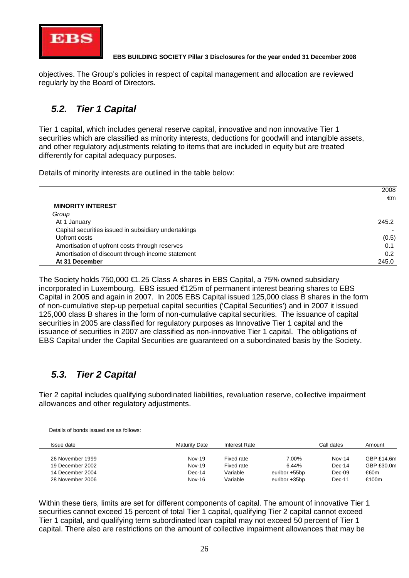

objectives. The Group's policies in respect of capital management and allocation are reviewed regularly by the Board of Directors.

# *5.2. Tier 1 Capital*

Tier 1 capital, which includes general reserve capital, innovative and non innovative Tier 1 securities which are classified as minority interests, deductions for goodwill and intangible assets, and other regulatory adjustments relating to items that are included in equity but are treated differently for capital adequacy purposes.

Details of minority interests are outlined in the table below:

|                                                      | 2008  |
|------------------------------------------------------|-------|
|                                                      | €m    |
| <b>MINORITY INTEREST</b>                             |       |
| Group                                                |       |
| At 1 January                                         | 245.2 |
| Capital securities issued in subsidiary undertakings |       |
| Upfront costs                                        | (0.5) |
| Amortisation of upfront costs through reserves       | 0.1   |
| Amortisation of discount through income statement    | 0.2   |
| At 31 December                                       | 245.0 |

The Society holds 750,000 €1.25 Class A shares in EBS Capital, a 75% owned subsidiary incorporated in Luxembourg. EBS issued €125m of permanent interest bearing shares to EBS Capital in 2005 and again in 2007. In 2005 EBS Capital issued 125,000 class B shares in the form of non-cumulative step-up perpetual capital securities ('Capital Securities') and in 2007 it issued 125,000 class B shares in the form of non-cumulative capital securities. The issuance of capital securities in 2005 are classified for regulatory purposes as Innovative Tier 1 capital and the issuance of securities in 2007 are classified as non-innovative Tier 1 capital. The obligations of EBS Capital under the Capital Securities are guaranteed on a subordinated basis by the Society.

# *5.3. Tier 2 Capital*

Tier 2 capital includes qualifying subordinated liabilities, revaluation reserve, collective impairment allowances and other regulatory adjustments.

| Details of bonds issued are as follows: |                      |               |               |            |            |
|-----------------------------------------|----------------------|---------------|---------------|------------|------------|
| Issue date                              | <b>Maturity Date</b> | Interest Rate |               | Call dates | Amount     |
| 26 November 1999                        | Nov-19               | Fixed rate    | 7.00%         | $Nov-14$   | GBPf14.6m  |
| 19 December 2002                        | Nov-19               | Fixed rate    | 6.44%         | $Dec-14$   | GBP £30.0m |
| 14 December 2004                        | $Dec-14$             | Variable      | euribor +55bp | $Dec-09$   | €60m       |
| 28 November 2006                        | <b>Nov-16</b>        | Variable      | euribor +35bp | Dec-11     | €100m      |

Within these tiers, limits are set for different components of capital. The amount of innovative Tier 1 securities cannot exceed 15 percent of total Tier 1 capital, qualifying Tier 2 capital cannot exceed Tier 1 capital, and qualifying term subordinated loan capital may not exceed 50 percent of Tier 1 capital. There also are restrictions on the amount of collective impairment allowances that may be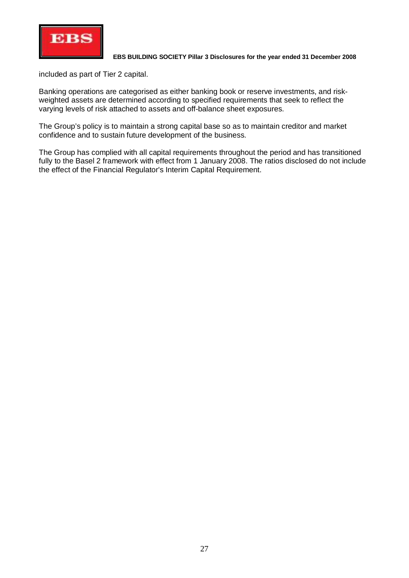

included as part of Tier 2 capital.

Banking operations are categorised as either banking book or reserve investments, and riskweighted assets are determined according to specified requirements that seek to reflect the varying levels of risk attached to assets and off-balance sheet exposures.

The Group's policy is to maintain a strong capital base so as to maintain creditor and market confidence and to sustain future development of the business.

The Group has complied with all capital requirements throughout the period and has transitioned fully to the Basel 2 framework with effect from 1 January 2008. The ratios disclosed do not include the effect of the Financial Regulator's Interim Capital Requirement.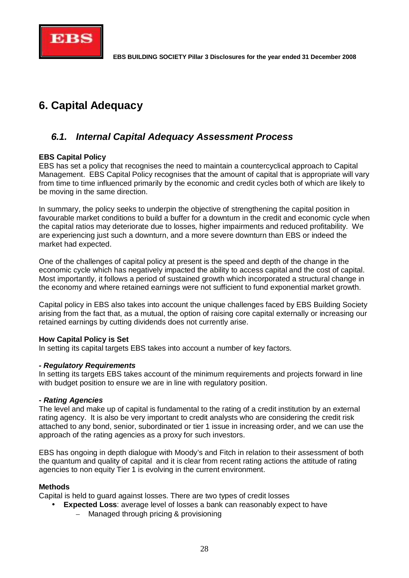

# **6. Capital Adequacy**

## *6.1. Internal Capital Adequacy Assessment Process*

#### **EBS Capital Policy**

EBS has set a policy that recognises the need to maintain a countercyclical approach to Capital Management. EBS Capital Policy recognises that the amount of capital that is appropriate will vary from time to time influenced primarily by the economic and credit cycles both of which are likely to be moving in the same direction.

In summary, the policy seeks to underpin the objective of strengthening the capital position in favourable market conditions to build a buffer for a downturn in the credit and economic cycle when the capital ratios may deteriorate due to losses, higher impairments and reduced profitability. We are experiencing just such a downturn, and a more severe downturn than EBS or indeed the market had expected.

One of the challenges of capital policy at present is the speed and depth of the change in the economic cycle which has negatively impacted the ability to access capital and the cost of capital. Most importantly, it follows a period of sustained growth which incorporated a structural change in the economy and where retained earnings were not sufficient to fund exponential market growth.

Capital policy in EBS also takes into account the unique challenges faced by EBS Building Society arising from the fact that, as a mutual, the option of raising core capital externally or increasing our retained earnings by cutting dividends does not currently arise.

#### **How Capital Policy is Set**

In setting its capital targets EBS takes into account a number of key factors.

#### *- Regulatory Requirements*

In setting its targets EBS takes account of the minimum requirements and projects forward in line with budget position to ensure we are in line with regulatory position.

#### *- Rating Agencies*

The level and make up of capital is fundamental to the rating of a credit institution by an external rating agency. It is also be very important to credit analysts who are considering the credit risk attached to any bond, senior, subordinated or tier 1 issue in increasing order, and we can use the approach of the rating agencies as a proxy for such investors.

EBS has ongoing in depth dialogue with Moody's and Fitch in relation to their assessment of both the quantum and quality of capital and it is clear from recent rating actions the attitude of rating agencies to non equity Tier 1 is evolving in the current environment.

#### **Methods**

Capital is held to guard against losses. There are two types of credit losses

- **Expected Loss**: average level of losses a bank can reasonably expect to have
	- Managed through pricing & provisioning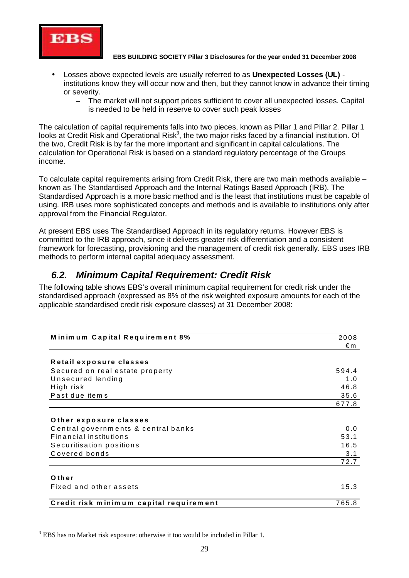

- Losses above expected levels are usually referred to as **Unexpected Losses (UL)** institutions know they will occur now and then, but they cannot know in advance their timing or severity.
	- The market will not support prices sufficient to cover all unexpected losses. Capital is needed to be held in reserve to cover such peak losses

The calculation of capital requirements falls into two pieces, known as Pillar 1 and Pillar 2. Pillar 1 looks at Credit Risk and Operational Risk<sup>3</sup>, the two major risks faced by a financial institution. Of the two, Credit Risk is by far the more important and significant in capital calculations. The calculation for Operational Risk is based on a standard regulatory percentage of the Groups income.

To calculate capital requirements arising from Credit Risk, there are two main methods available – known as The Standardised Approach and the Internal Ratings Based Approach (IRB). The Standardised Approach is a more basic method and is the least that institutions must be capable of using. IRB uses more sophisticated concepts and methods and is available to institutions only after approval from the Financial Regulator.

At present EBS uses The Standardised Approach in its regulatory returns. However EBS is committed to the IRB approach, since it delivers greater risk differentiation and a consistent framework for forecasting, provisioning and the management of credit risk generally. EBS uses IRB methods to perform internal capital adequacy assessment.

### *6.2. Minimum Capital Requirement: Credit Risk*

The following table shows EBS's overall minimum capital requirement for credit risk under the standardised approach (expressed as 8% of the risk weighted exposure amounts for each of the applicable standardised credit risk exposure classes) at 31 December 2008:

| Minimum Capital Requirement 8%          | 2008  |  |  |
|-----------------------------------------|-------|--|--|
|                                         | €m    |  |  |
| Retail exposure classes                 |       |  |  |
| Secured on real estate property         | 594.4 |  |  |
| Unsecured lending                       | 1.0   |  |  |
| High risk                               | 46.8  |  |  |
| Past due items                          | 35.6  |  |  |
|                                         | 677.8 |  |  |
|                                         |       |  |  |
| Other exposure classes                  |       |  |  |
| Central governments & central banks     | 0.0   |  |  |
| <b>Financial institutions</b>           | 53.1  |  |  |
| Securitisation positions                | 16.5  |  |  |
| Covered bonds                           | 3.1   |  |  |
|                                         | 72.7  |  |  |
|                                         |       |  |  |
| Other                                   |       |  |  |
| Fixed and other assets                  | 15.3  |  |  |
|                                         |       |  |  |
| Credit risk minimum capital requirement | 765.8 |  |  |

<sup>&</sup>lt;sup>3</sup> EBS has no Market risk exposure: otherwise it too would be included in Pillar 1.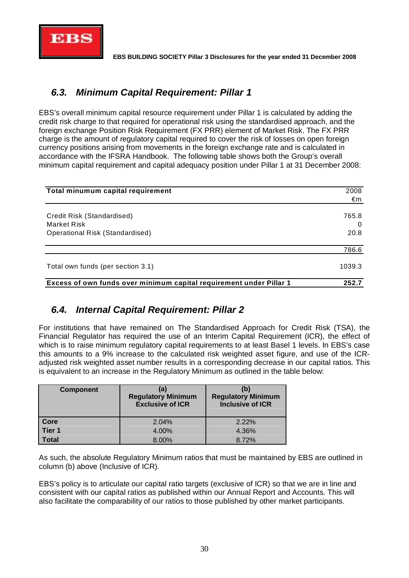

## *6.3. Minimum Capital Requirement: Pillar 1*

EBS's overall minimum capital resource requirement under Pillar 1 is calculated by adding the credit risk charge to that required for operational risk using the standardised approach, and the foreign exchange Position Risk Requirement (FX PRR) element of Market Risk. The FX PRR charge is the amount of regulatory capital required to cover the risk of losses on open foreign currency positions arising from movements in the foreign exchange rate and is calculated in accordance with the IFSRA Handbook. The following table shows both the Group's overall minimum capital requirement and capital adequacy position under Pillar 1 at 31 December 2008:

| Total minumum capital requirement                                   | 2008     |
|---------------------------------------------------------------------|----------|
|                                                                     | €m       |
| Credit Risk (Standardised)                                          | 765.8    |
| Market Risk                                                         | $\Omega$ |
| <b>Operational Risk (Standardised)</b>                              | 20.8     |
|                                                                     | 786.6    |
| Total own funds (per section 3.1)                                   | 1039.3   |
| Excess of own funds over minimum capital requirement under Pillar 1 | 252.7    |

# *6.4. Internal Capital Requirement: Pillar 2*

For institutions that have remained on The Standardised Approach for Credit Risk (TSA), the Financial Regulator has required the use of an Interim Capital Requirement (ICR), the effect of which is to raise minimum regulatory capital requirements to at least Basel 1 levels. In EBS's case this amounts to a 9% increase to the calculated risk weighted asset figure, and use of the ICRadjusted risk weighted asset number results in a corresponding decrease in our capital ratios. This is equivalent to an increase in the Regulatory Minimum as outlined in the table below:

| <b>Component</b>  | (a)<br><b>Regulatory Minimum</b><br><b>Exclusive of ICR</b> | (b)<br><b>Regulatory Minimum</b><br>Inclusive of ICR |
|-------------------|-------------------------------------------------------------|------------------------------------------------------|
| Core              | 2.04%                                                       | $2.22\%$                                             |
| Tier <sub>1</sub> | 4.00%                                                       | 4.36%                                                |
| <b>Total</b>      | 8.00%                                                       | 8.72%                                                |

As such, the absolute Regulatory Minimum ratios that must be maintained by EBS are outlined in column (b) above (Inclusive of ICR).

EBS's policy is to articulate our capital ratio targets (exclusive of ICR) so that we are in line and consistent with our capital ratios as published within our Annual Report and Accounts. This will also facilitate the comparability of our ratios to those published by other market participants.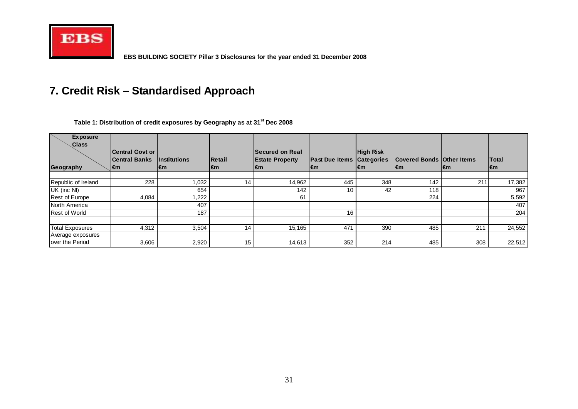

# **7. Credit Risk – Standardised Approach**

| <b>Exposure</b><br><b>Class</b><br>Geography | <b>Central Govt or</b><br><b>Central Banks</b><br>l€m | <i><b>Institutions</b></i><br>l€m | <b>Retail</b><br>l€m | <b>Secured on Real</b><br><b>Estate Property</b><br>l€m | <b>Past Due Items Categories</b><br>l€m | <b>High Risk</b><br>l€m | <b>Covered Bonds Other Items</b><br>l€m | l€m | <b>Total</b><br>l€m |
|----------------------------------------------|-------------------------------------------------------|-----------------------------------|----------------------|---------------------------------------------------------|-----------------------------------------|-------------------------|-----------------------------------------|-----|---------------------|
|                                              |                                                       |                                   |                      |                                                         |                                         |                         |                                         |     |                     |
| Republic of Ireland                          | 228                                                   | 1,032                             | 14                   | 14,962                                                  | 445                                     | 348                     | 142                                     | 211 | 17,382              |
| UK (inc NI)                                  |                                                       | 654                               |                      | 142                                                     | 10                                      | 42                      | 118                                     |     | 967                 |
| Rest of Europe                               | 4,084                                                 | ,222                              |                      | 61                                                      |                                         |                         | 224                                     |     | 5,592               |
| North America                                |                                                       | 407                               |                      |                                                         |                                         |                         |                                         |     | 407                 |
| <b>Rest of World</b>                         |                                                       | 187                               |                      |                                                         | 16                                      |                         |                                         |     | 204                 |
|                                              |                                                       |                                   |                      |                                                         |                                         |                         |                                         |     |                     |
| <b>Total Exposures</b>                       | 4,312                                                 | 3,504                             | 14                   | 15,165                                                  | 471                                     | 390                     | 485                                     | 211 | 24,552              |
| Average exposures                            |                                                       |                                   |                      |                                                         |                                         |                         |                                         |     |                     |
| lover the Period                             | 3,606                                                 | 2,920                             | 15                   | 14,613                                                  | 352                                     | 214                     | 485                                     | 308 | 22,512              |

**Table 1: Distribution of credit exposures by Geography as at 31st Dec 2008**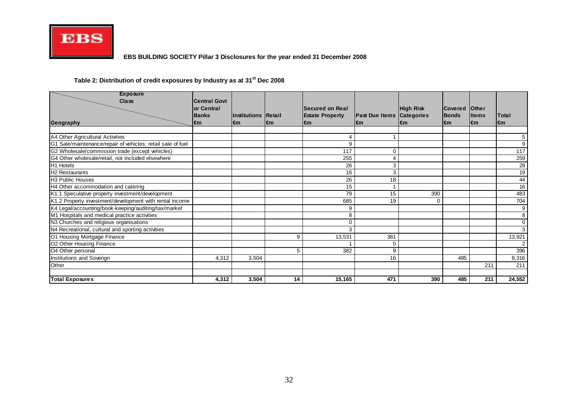

#### **Table 2: Distribution of credit exposures by Industry as at 31st Dec 2008**

| <b>Exposure</b><br><b>Class</b>                             | <b>Central Govt</b><br>lor Central |                                   |     | Secured on Real              |                                         | High Risk | <b>Covered</b>      | lOther                       |                     |
|-------------------------------------------------------------|------------------------------------|-----------------------------------|-----|------------------------------|-----------------------------------------|-----------|---------------------|------------------------------|---------------------|
| Geography                                                   | <b>Banks</b><br>€m                 | <b>Institutions Retail</b><br>l€m | l€m | <b>Estate Property</b><br>€m | <b>Past Due Items Categories</b><br>l€m | l€m       | <b>Bonds</b><br>l€m | <b>Items</b><br>$\epsilon$ m | <b>Total</b><br>l€m |
|                                                             |                                    |                                   |     |                              |                                         |           |                     |                              |                     |
| A4 Other Agricultural Activities                            |                                    |                                   |     |                              |                                         |           |                     |                              | 5                   |
| G1 Sale/maintenance/repair of vehicles; retail sale of fuel |                                    |                                   |     | 9                            |                                         |           |                     |                              | 9                   |
| G2 Wholesale/commission trade (except vehicles)             |                                    |                                   |     | 117                          | 0                                       |           |                     |                              | 117                 |
| G4 Other wholesale/retail, not included elsewhere           |                                    |                                   |     | 255                          | 4                                       |           |                     |                              | 259                 |
| H1 Hotels                                                   |                                    |                                   |     | 26                           | 3                                       |           |                     |                              | 28                  |
| <b>H2 Restaurants</b>                                       |                                    |                                   |     | 16                           | 3                                       |           |                     |                              | 19                  |
| <b>H3 Public Houses</b>                                     |                                    |                                   |     | 26                           | 18                                      |           |                     |                              | 44                  |
| H4 Other accommodation and catering                         |                                    |                                   |     | 15                           |                                         |           |                     |                              | 16                  |
| K1.1 Speculative property investment/development            |                                    |                                   |     | 79                           | 15                                      | 390       |                     |                              | 483                 |
| K1.2 Property investment/development with rental income     |                                    |                                   |     | 685                          | 19                                      | 0         |                     |                              | 704                 |
| K4 Legal/accounting/book-keeping/auditing/tax/market        |                                    |                                   |     | 9                            |                                         |           |                     |                              | 9                   |
| M1 Hospitals and medical practice activities                |                                    |                                   |     | 8                            |                                         |           |                     |                              | 8                   |
| N3 Churches and religious organisations                     |                                    |                                   |     | 0                            |                                         |           |                     |                              | $\mathbf 0$         |
| N4 Recreational, cultural and sporting activities           |                                    |                                   |     | 3                            |                                         |           |                     |                              | 3                   |
| O1 Housing Mortgage Finance                                 |                                    |                                   | 9   | 13,531                       | 381                                     |           |                     |                              | 13,921              |
| O2 Other Housing Finance                                    |                                    |                                   |     |                              | $\Omega$                                |           |                     |                              |                     |
| O <sub>4</sub> Other personal                               |                                    |                                   | 5   | 382                          | 9                                       |           |                     |                              | 396                 |
| Institutions and Soverign                                   | 4,312                              | 3,504                             |     |                              | 16                                      |           | 485                 |                              | 8,316               |
| Other                                                       |                                    |                                   |     |                              |                                         |           |                     | 211                          | 211                 |
|                                                             |                                    |                                   |     |                              |                                         |           |                     |                              |                     |
| <b>Total Exposures</b>                                      | 4,312                              | 3,504                             | 14  | 15,165                       | 471                                     | 390       | 485                 | 211                          | 24,552              |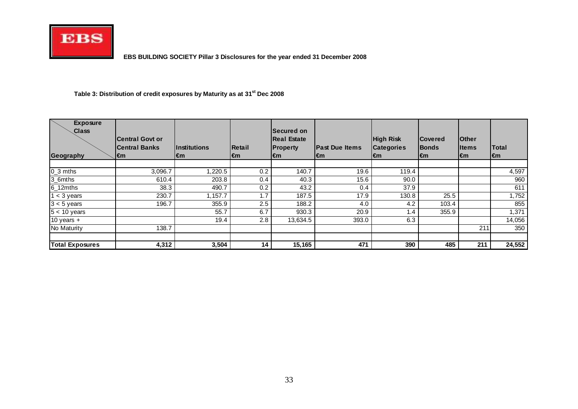

#### **Table 3: Distribution of credit exposures by Maturity as at 31st Dec 2008**

| <b>Exposure</b><br>Class<br>Geography | Central Govt or<br><b>Central Banks</b><br>l€m | <i><b>Institutions</b></i><br>l€m | <b>IRetail</b><br>l€m | Secured on<br><b>Real Estate</b><br><b>Property</b><br>l€m | <b>Past Due Items</b><br>l€m | <b>High Risk</b><br><b>Categories</b><br>l€m | <b>Covered</b><br><b>Bonds</b><br>l€m | <b>Other</b><br><b>Iltems</b><br>∣€m | Total<br>l€m |
|---------------------------------------|------------------------------------------------|-----------------------------------|-----------------------|------------------------------------------------------------|------------------------------|----------------------------------------------|---------------------------------------|--------------------------------------|--------------|
|                                       |                                                |                                   |                       |                                                            |                              |                                              |                                       |                                      |              |
| $0_3$ mths                            | 3,096.7                                        | ,220.5                            | 0.2                   | 140.7                                                      | 19.6                         | 119.4                                        |                                       |                                      | 4,597        |
| 3_6mths                               | 610.4                                          | 203.8                             | 0.4                   | 40.3                                                       | 15.6                         | 90.0                                         |                                       |                                      | 960          |
| $6$ _12 $m$ ths                       | 38.3                                           | 490.7                             | 0.2                   | 43.2                                                       | 0.4                          | 37.9                                         |                                       |                                      | 611          |
| $1 < 3$ years                         | 230.7                                          | 1,157.7                           | 1.7                   | 187.5                                                      | 17.9                         | 130.8                                        | 25.5                                  |                                      | 1,752        |
| $3 < 5$ years                         | 196.7                                          | 355.9                             | 2.5                   | 188.2                                                      | 4.0                          | 4.2                                          | 103.4                                 |                                      | 855          |
| $5 < 10$ years                        |                                                | 55.7                              | 6.7                   | 930.3                                                      | 20.9                         | 1.4                                          | 355.9                                 |                                      | 1,371        |
| $10$ years +                          |                                                | 19.4                              | 2.8                   | 13,634.5                                                   | 393.0                        | 6.3                                          |                                       |                                      | 14,056       |
| No Maturity                           | 138.7                                          |                                   |                       |                                                            |                              |                                              |                                       | 211                                  | 350          |
| <b>Total Exposures</b>                | 4,312                                          | 3,504                             | 14                    | 15,165                                                     | 471                          | 390                                          | 485                                   | 211                                  | 24,552       |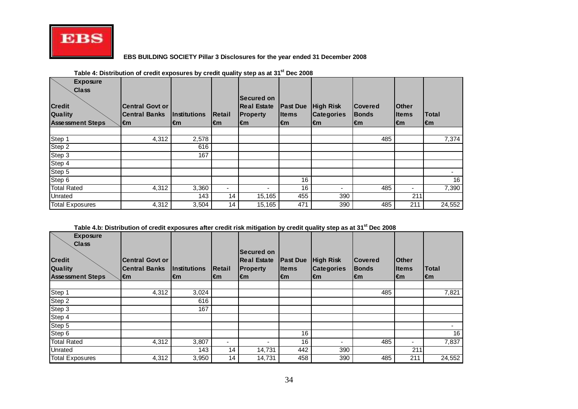

| <b>Exposure</b><br><b>Class</b><br><b>Credit</b><br><b>Quality</b><br><b>Assessment Steps</b> | <b>Central Govt or</b><br><b>Central Banks</b><br>l€m | <i><u><b>Institutions</b></u></i><br>l€m | Retail<br>€m | <b>Secured on</b><br><b>Real Estate</b><br><b>Property</b><br>$\epsilon$ m | <b>Past Due</b><br><b>I</b> tems<br>$\epsilon$ m | <b>High Risk</b><br><b>Categories</b><br>l€m | <b>Covered</b><br><b>Bonds</b><br>l€m | lOther<br><b>I</b> tems<br>l€m | <b>Total</b><br>l€m |
|-----------------------------------------------------------------------------------------------|-------------------------------------------------------|------------------------------------------|--------------|----------------------------------------------------------------------------|--------------------------------------------------|----------------------------------------------|---------------------------------------|--------------------------------|---------------------|
|                                                                                               |                                                       |                                          |              |                                                                            |                                                  |                                              |                                       |                                |                     |
| Step 1                                                                                        | 4,312                                                 | 2,578                                    |              |                                                                            |                                                  |                                              | 485                                   |                                | 7,374               |
| Step 2                                                                                        |                                                       | 616                                      |              |                                                                            |                                                  |                                              |                                       |                                |                     |
| Step 3                                                                                        |                                                       | 167                                      |              |                                                                            |                                                  |                                              |                                       |                                |                     |
| Step 4                                                                                        |                                                       |                                          |              |                                                                            |                                                  |                                              |                                       |                                |                     |
| Step 5                                                                                        |                                                       |                                          |              |                                                                            |                                                  |                                              |                                       |                                |                     |
| Step 6                                                                                        |                                                       |                                          |              |                                                                            | 16                                               |                                              |                                       |                                | 16                  |
| <b>Total Rated</b>                                                                            | 4,312                                                 | 3,360                                    | ٠            |                                                                            | 16                                               | $\overline{\phantom{0}}$                     | 485                                   | ۰.                             | 7,390               |
| Unrated                                                                                       |                                                       | 143                                      | 14           | 15,165                                                                     | 455                                              | 390                                          |                                       | 211                            |                     |
| <b>Total Exposures</b>                                                                        | 4,312                                                 | 3,504                                    | 14           | 15,165                                                                     | 471                                              | 390                                          | 485                                   | 211                            | 24,552              |

#### **Table 4: Distribution of credit exposures by credit quality step as at 31st Dec 2008**

#### **Table 4.b: Distribution of credit exposures after credit risk mitigation by credit quality step as at 31st Dec 2008**

| <b>Exposure</b>         |                        |                     |                |                                         |                 |                          |                |               |              |
|-------------------------|------------------------|---------------------|----------------|-----------------------------------------|-----------------|--------------------------|----------------|---------------|--------------|
| <b>Class</b>            |                        |                     |                |                                         |                 |                          |                |               |              |
| <b>Credit</b>           | <b>Central Govt or</b> |                     |                | <b>Secured on</b><br><b>Real Estate</b> | <b>Past Due</b> | <b>High Risk</b>         | <b>Covered</b> | <b>Other</b>  |              |
| Quality                 | <b>Central Banks</b>   | <b>Institutions</b> | Retail         | <b>Property</b>                         | <b>Items</b>    | <b>Categories</b>        | <b>Bonds</b>   | <b>I</b> tems | <b>Total</b> |
| <b>Assessment Steps</b> | $\epsilon$ m           | l€m                 | l€m            | €m                                      | $\epsilon$ m    | $\epsilon$ m             | l€m            | l€m           | l€m          |
|                         |                        |                     |                |                                         |                 |                          |                |               |              |
| Step 1                  | 4,312                  | 3,024               |                |                                         |                 |                          | 485            |               | 7,821        |
| Step 2                  |                        | 616                 |                |                                         |                 |                          |                |               |              |
| Step 3                  |                        | 167                 |                |                                         |                 |                          |                |               |              |
| Step 4                  |                        |                     |                |                                         |                 |                          |                |               |              |
| Step 5                  |                        |                     |                |                                         |                 |                          |                |               |              |
| Step 6                  |                        |                     |                |                                         | 16              |                          |                |               | 16           |
| <b>Total Rated</b>      | 4,312                  | 3,807               | $\blacksquare$ | -                                       | 16              | $\overline{\phantom{0}}$ | 485            | -             | 7,837        |
| Unrated                 |                        | 143                 | 14             | 14,731                                  | 442             | 390                      |                | 211           |              |
| Total Exposures         | 4,312                  | 3,950               | 14             | 14,731                                  | 458             | 390                      | 485            | 211           | 24,552       |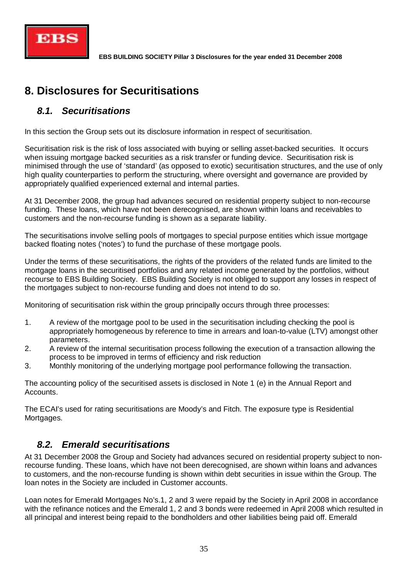

# **8. Disclosures for Securitisations**

## *8.1. Securitisations*

In this section the Group sets out its disclosure information in respect of securitisation.

Securitisation risk is the risk of loss associated with buying or selling asset-backed securities. It occurs when issuing mortgage backed securities as a risk transfer or funding device. Securitisation risk is minimised through the use of 'standard' (as opposed to exotic) securitisation structures, and the use of only high quality counterparties to perform the structuring, where oversight and governance are provided by appropriately qualified experienced external and internal parties.

At 31 December 2008, the group had advances secured on residential property subject to non-recourse funding. These loans, which have not been derecognised, are shown within loans and receivables to customers and the non-recourse funding is shown as a separate liability.

The securitisations involve selling pools of mortgages to special purpose entities which issue mortgage backed floating notes ('notes') to fund the purchase of these mortgage pools.

Under the terms of these securitisations, the rights of the providers of the related funds are limited to the mortgage loans in the securitised portfolios and any related income generated by the portfolios, without recourse to EBS Building Society. EBS Building Society is not obliged to support any losses in respect of the mortgages subject to non-recourse funding and does not intend to do so.

Monitoring of securitisation risk within the group principally occurs through three processes:

- 1. A review of the mortgage pool to be used in the securitisation including checking the pool is appropriately homogeneous by reference to time in arrears and loan-to-value (LTV) amongst other parameters.
- 2. A review of the internal securitisation process following the execution of a transaction allowing the process to be improved in terms of efficiency and risk reduction
- 3. Monthly monitoring of the underlying mortgage pool performance following the transaction.

The accounting policy of the securitised assets is disclosed in Note 1 (e) in the Annual Report and Accounts.

The ECAI's used for rating securitisations are Moody's and Fitch. The exposure type is Residential Mortgages.

## *8.2. Emerald securitisations*

At 31 December 2008 the Group and Society had advances secured on residential property subject to nonrecourse funding. These loans, which have not been derecognised, are shown within loans and advances to customers, and the non-recourse funding is shown within debt securities in issue within the Group. The loan notes in the Society are included in Customer accounts.

Loan notes for Emerald Mortgages No's.1, 2 and 3 were repaid by the Society in April 2008 in accordance with the refinance notices and the Emerald 1, 2 and 3 bonds were redeemed in April 2008 which resulted in all principal and interest being repaid to the bondholders and other liabilities being paid off. Emerald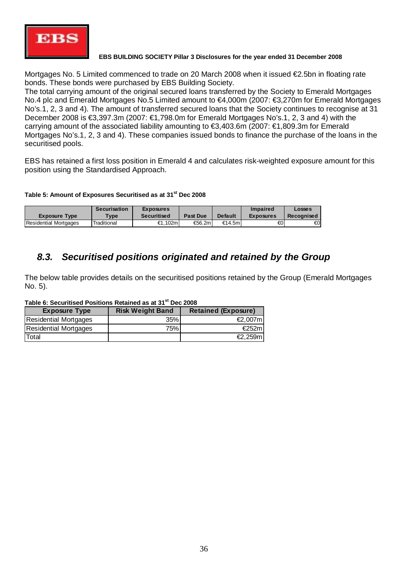

Mortgages No. 5 Limited commenced to trade on 20 March 2008 when it issued €2.5bn in floating rate bonds. These bonds were purchased by EBS Building Society.

The total carrying amount of the original secured loans transferred by the Society to Emerald Mortgages No.4 plc and Emerald Mortgages No.5 Limited amount to €4,000m (2007: €3,270m for Emerald Mortgages No's.1, 2, 3 and 4). The amount of transferred secured loans that the Society continues to recognise at 31 December 2008 is €3,397.3m (2007: €1,798.0m for Emerald Mortgages No's.1, 2, 3 and 4) with the carrying amount of the associated liability amounting to €3,403.6m (2007: €1,809.3m for Emerald Mortgages No's.1, 2, 3 and 4). These companies issued bonds to finance the purchase of the loans in the securitised pools.

EBS has retained a first loss position in Emerald 4 and calculates risk-weighted exposure amount for this position using the Standardised Approach.

**Table 5: Amount of Exposures Securitised as at 31st Dec 2008**

|                              | <b>Securisation</b>   | <b>Exposures</b>   |                 |                | <b>Impaired</b>  | Losses     |
|------------------------------|-----------------------|--------------------|-----------------|----------------|------------------|------------|
| <b>Exposure Type</b>         | $T$ <sub>V</sub> $pe$ | <b>Securitised</b> | <b>Past Due</b> | <b>Default</b> | <b>Exposures</b> | Recognised |
| <b>Residential Mortgages</b> | Traditional           | €1.102ml           | €56.2m          | €14.5m         | €ΟΙ              | €0         |

## *8.3. Securitised positions originated and retained by the Group*

The below table provides details on the securitised positions retained by the Group (Emerald Mortgages No. 5).

| Taple V. Occurrista i Osnichs Relation as al 91 - Dec 2000 |                         |                            |  |  |  |
|------------------------------------------------------------|-------------------------|----------------------------|--|--|--|
| <b>Exposure Type</b>                                       | <b>Risk Weight Band</b> | <b>Retained (Exposure)</b> |  |  |  |
| <b>Residential Mortgages</b>                               | 35%                     | €2,007m                    |  |  |  |
| <b>Residential Mortgages</b>                               | 75%i                    | €252m                      |  |  |  |
| Total                                                      |                         | €2.259m                    |  |  |  |

#### **Table 6: Securitised Positions Retained as at 31st Dec 2008**